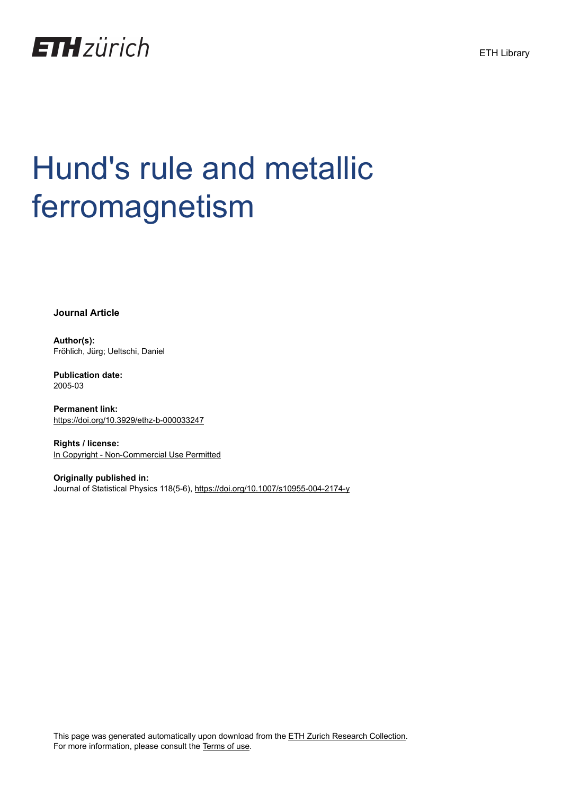

**Journal Article**

**Author(s):** Fröhlich, Jürg; Ueltschi, Daniel

**Publication date:** 2005-03

**Permanent link:** <https://doi.org/10.3929/ethz-b-000033247>

**Rights / license:** [In Copyright - Non-Commercial Use Permitted](http://rightsstatements.org/page/InC-NC/1.0/)

**Originally published in:** Journal of Statistical Physics 118(5-6),<https://doi.org/10.1007/s10955-004-2174-y>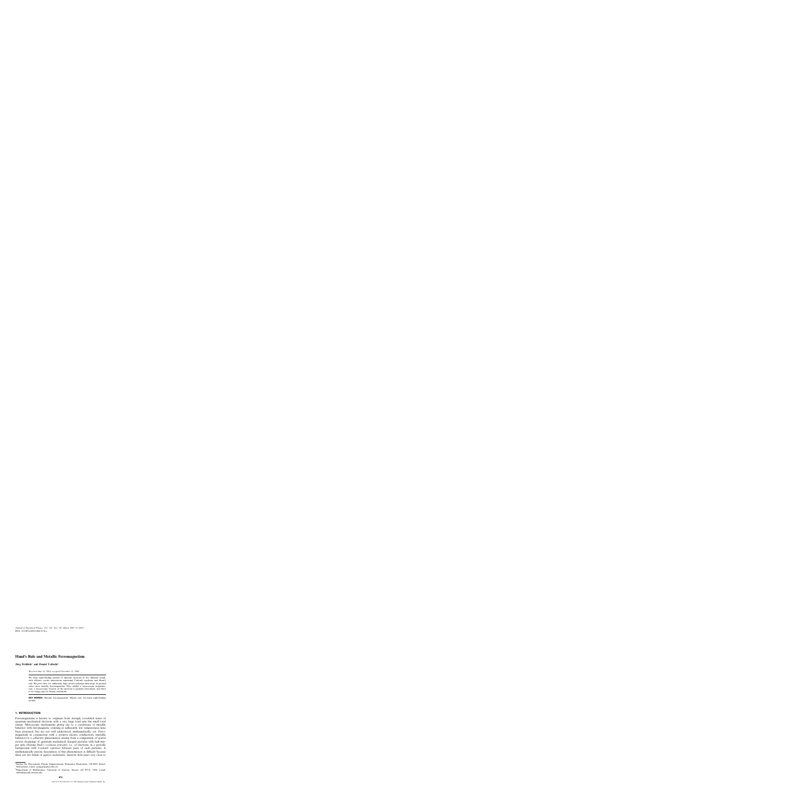DOI: 10.1007/s10955-004-2174-y *Journal of Statistical Physics, Vol. 118, Nos. 5/6, March 2005 (© 2005)*

# **Hund's Rule and Metallic Ferromagnetism**

 $Jürg$  Fröhlich<sup>1</sup> and Daniel Ueltschi<sup>2</sup>

*Received June 14, 2004; accepted November 15, 2004*

We study tight-binding models of itinerant electrons in two different bands, with effective on-site interactions expressing Coulomb repulsion and Hund's rule. We prove that, for sufficiently large on-site exchange anisotropy, all ground states show metallic ferromagnetism: They exhibit a macroscopic magnetization, a macroscopic fraction of the electrons is spatially delocalized, and there is no energy gap for kinetic excitations.

**KEY WORDS:** Metallic ferromagnetism; Hund's rule; two-band tight-binding models.

# **1. INTRODUCTION**

Ferromagnetism is known to originate from strongly correlated states of quantum mechanical electrons with a very large total spin but small total energy. Microscopic mechanisms giving rise to a coexistence of metallic behavior with ferromagnetic ordering at sufficiently low temperatures have been proposed, but are not well understood, mathematically, yet. Ferromagnetism in conjunction with a positive electric conductivity (metallic behavior) is a collective phenomenon arising from a competition of *spatial motion* (hopping) of quantum mechanical charged particles with half-integer spin obeying *Pauli's exclusion principle*, i.e., of electrons, in a periodic background with *Coulomb repulsion* between pairs of such particles. A mathematically precise description of this phenomenon is difficult because there are two kinds of *gapless* excitations: electron–hole pairs very close to

 $1$ Institut für Theoretische Physik, Eidgenössische Technische Hochschule, CH–8093 Zürich, Switzerland; e-mail: juerg@itp.phys.ethz.ch

<sup>2</sup>Department of Mathematics, University of Arizona, Tucson, AZ 85721, USA; e-mail: ueltschi@math.arizona.edu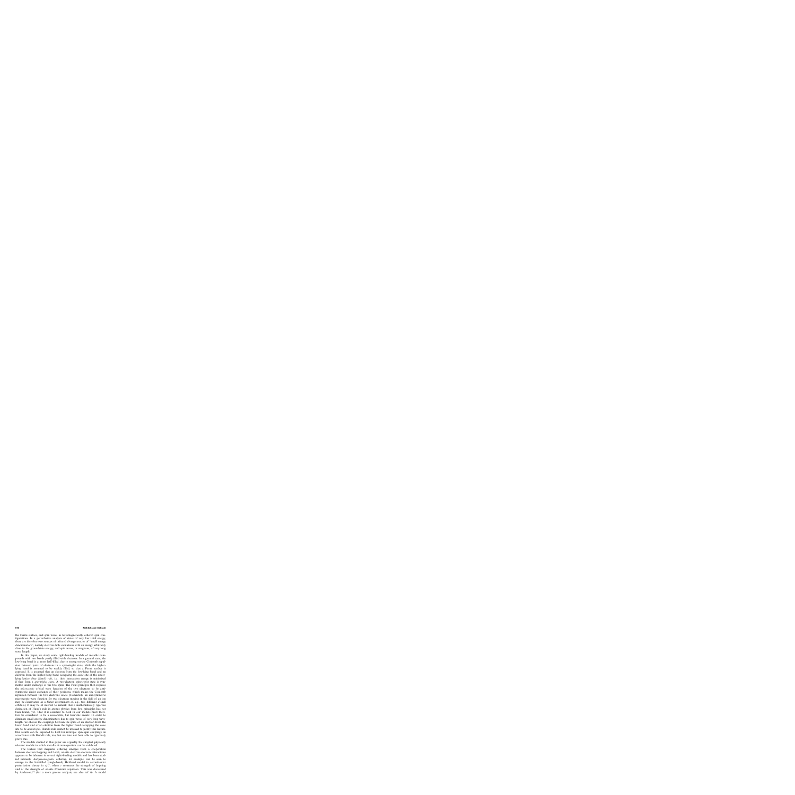the Fermi surface, and spin waves in ferromagnetically ordered spin configurations. In a perturbative analysis of states of very low total energy, there are therefore two sources of infrared divergences, or of "small energy denominators", namely electron–hole excitations with an energy arbitrarily close to the groundstate energy, and spin waves, or magnons, of very long wave length.

In this paper, we study some tight-binding models of metallic compounds with two bands partly filled with electrons. In a ground state, the low-lying band is at most half-filled, due to strong on-site Coulomb repulsion between pairs of electrons in a spin-singlet state, while the higherlying band is assumed to be weakly filled, so that a Fermi surface is expected. It is assumed that an electron from the low-lying band and an electron from the higher-lying band occupying the *same* site of the underlying lattice obey *Hund's rule*, i.e., their interaction energy is minimized if they form a *spin-triplet state*. A two-electron spin-triplet state is symmetric under exchange of the two spins. The Pauli principle then requires the *microscopic* orbital wave function of the two electrons to be antisymmetric under exchange of their positions, which makes the Coulomb repulsion between the two electrons *small*. (Concretely, an antisymmetric microscopic wave function for two electrons moving in the field of an ion may be constructed as a Slater determinant of, e.g., two different d-shell orbitals.) It may be of interest to remark that a mathematically rigorous derivation of Hund's rule in atomic physics from first principles has not been found, yet. That it is assumed to hold in our models must therefore be considered to be a reasonable, but heuristic ansatz. In order to eliminate small energy denominators due to spin waves of very long wavelength, we choose the couplings between the spins of an electron from the lower band and of an electron from the higher band occupying the *same* site to be *anisotropic*. Hund's rule cannot be invoked to justify this feature. Our results can be expected to hold for isotropic spin–spin couplings, in accordance with Hund's rule, too; but we have not been able to rigorously prove this.

The models studied in this paper are arguably the simplest physically relevant models in which metallic ferromagnetism can be exhibited.

The feature that magnetic ordering emerges from a cooperation between electron hopping and local, on-site electron–electron interactions appears to be inherent in several tight-binding models and has been studied intensely. *Antiferromagnetic* ordering, for example, can be seen to emerge in the half-filled (single-band) Hubbard model in second-order perturbation theory in  $t/U$ , where t measures the strength of hopping and U the strength of on-site Coulomb repulsion. This was discovered by Anderson; $^{(1)}$  (for a more precise analysis, see also ref. 6). A model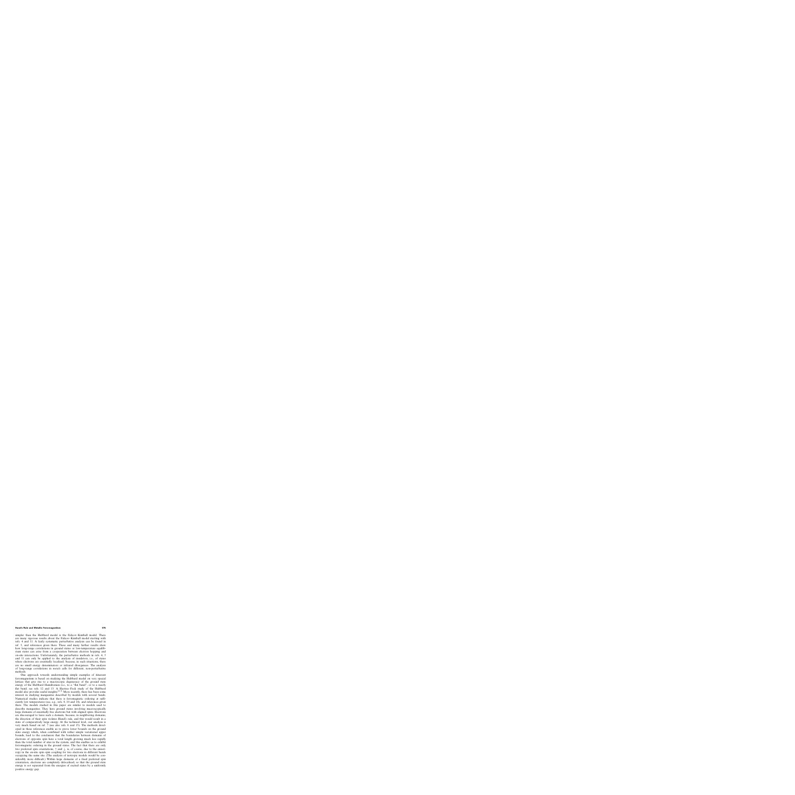simpler than the Hubbard model is the Falicov–Kimball model. There are many rigorous results about the Falicov–Kimball model starting with refs. 4 and 11. A fairly systematic perturbative analysis can be found in ref. 5, and references given there. These and many further results show how long-range correlations in ground states or low-temperature equilibrium states can arise from a cooperation between electron hopping and on-site interactions. Unfortunately, the perturbative methods in refs. 4, 5 and 11 can only be applied to the analysis of insulators, i.e., of states where electrons are essentially localized, because, in such situations, there are no small energy denominators or infrared divergences. The analysis of long-range correlations in *metals* calls for different, non-perturbative methods.

One approach towards understanding simple examples of itinerant ferromagnetism is based on studying the Hubbard model on very special lattices that give rise to a macroscopic degeneracy of the ground state energy of the Hubbard Hamiltonian (i.e., to a "flat band", or to a nearly flat band; see refs. 12 and 13. A Hartree–Fock study of the Hubbard model also provides useful insights.<sup> $(2,3)$ </sup> More recently, there has been some interest in studying manganites described by models with several bands. Numerical studies indicate that there is ferromagnetic ordering at sufficiently low temperatures (see, e.g., refs. 9, 10 and 14), and references given there. The models studied in this paper are similar to models used to describe manganites. They have ground states involving macroscopically large domains of essentially free electrons but with aligned spins. Electrons are discouraged to leave such a domain, because, in neighboring domains, the direction of their spin violates Hund's rule, and this would result in a state of comparatively large energy. At the technical level, our analysis is very much based on ref. 7 (see also refs. 8 and 15). The methods developed in these references enable us to prove lower bounds on the ground state energy which, when combined with rather simple variational upper bounds, lead to the conclusion that the boundaries between domains of electrons of opposite spin have a total length growing much less rapidly than the total number of sites in the system, and this enables us to exhibit ferromagnetic ordering in the ground states. The fact that there are only two preferred spin orientations,  $\uparrow$  and  $\downarrow$ , is, of course, due to the anisotropy in the on-site spin–spin coupling for two electrons in different bands occupying the same site. (The analysis of isotropic models would be considerably more difficult.) Within large domains of a fixed preferred spin orientation, electrons are completely delocalized, so that the ground state energy is *not* separated from the energies of excited states by a uniformly positive energy gap.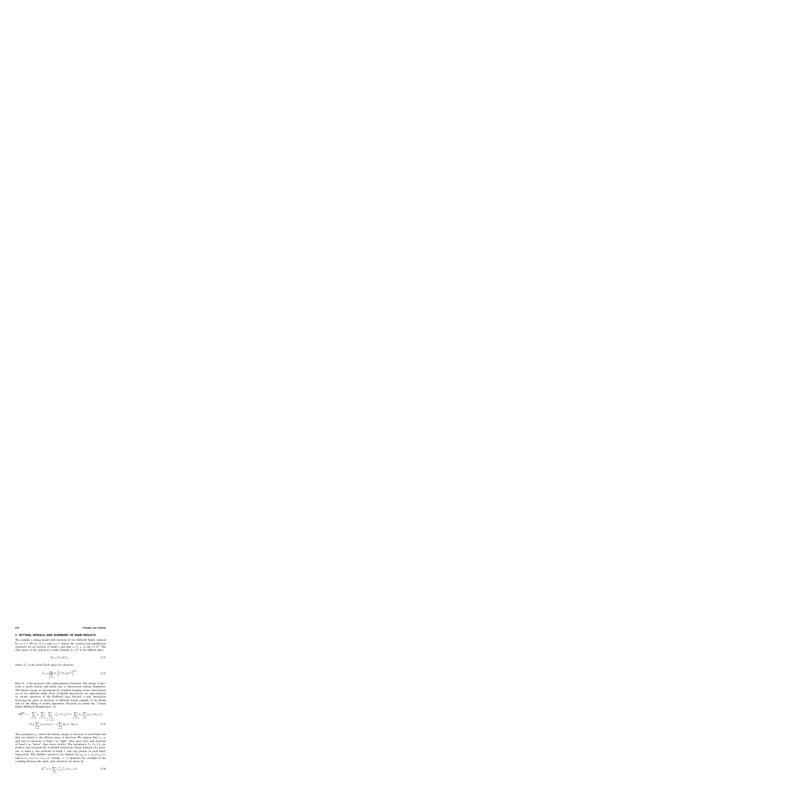# **2. SETTING, MODELS, AND SUMMARY OF MAIN RESULTS**

We consider a lattice model with electrons in two different bands, indexed by  $a=1, 2$ . We let  $c_{a\sigma}^{\dagger}(x)$  and  $c_{a\sigma}(x)$  denote the creation and annihilation operators for an electron of band a and spin  $\sigma = \uparrow, \downarrow$ , at site  $x \in \mathbb{Z}^d$ . The state space of the system in a finite domain  $\Lambda \subset \mathbb{Z}^d$  is the Hilbert space

$$
\mathcal{H}_{\Lambda} = \mathcal{F}_{\Lambda} \otimes \mathcal{F}_{\Lambda},\tag{2.1}
$$

where  $\mathcal{F}_{\Lambda}$  is the usual Fock space for electrons,

$$
\mathcal{F}_{\Lambda} = \bigoplus_{N \geq 0} P_{-} \Big[ \ell^{2}(\Lambda) \otimes \mathbb{C}^{2} \Big]^{\otimes N} . \tag{2.2}
$$

Here  $P_$  is the projector onto antisymmetric functions. The energy of electrons is partly kinetic and partly due to interactions among themselves. The kinetic energy is represented by standard hopping terms. Interactions are of two different kinds. First, Coulomb interactions are approximated by on-site operators of the Hubbard type. Second, a pair interaction involving the spins of electrons of different bands reminds of the Hund rule for the filling of atomic eigenstates. Precisely, we define the "2-band Hund–Hubbard Hamiltonian" as

$$
H_{\Lambda}^{\text{HH}} = -\sum_{a=1,2} t_a \sum_{\sigma=\uparrow,\downarrow} \sum_{\substack{x,y \in \Lambda \\ |x-y|=1}} c_{a\sigma}^{\dagger}(x) c_{a\sigma}(y) + \sum_{a=1,2} U_a \sum_{x \in \Lambda} n_{a\uparrow}(x) n_{a\downarrow}(x)
$$
  
+
$$
U_{12} \sum_{x \in \Lambda} n_1(x) n_2(x) - J \sum_{x \in \Lambda} S_1(x) \cdot S_2(x).
$$
 (2.3)

The parameters  $t_a$  control the kinetic energy of electrons of each band and they are related to the effective mass of electrons. We suppose that  $t_1 > t_2$ and refer to electrons of band 1 as "light" (they move fast) and electrons of band 2 as "heavy" (they move slowly). The parameters  $U_1, U_2, U_{12}$  are positive and represent the Coulomb interaction energy between two particles of band 1, two particles of band 2, and one particle of each band, respectively. The number operators are defined by  $n_{a\sigma}(x) = c_{a\sigma}^{\dagger}(x)c_{a\sigma}(x)$ and  $n_a(x) = n_{a<sub>1</sub>}(x) + n_{a<sub>+</sub>}(x)$ . Finally,  $J > 0$  measures the strength of the coupling between the spins; spin operators are given by

$$
S_a^{(j)}(x) = \sum_{\sigma,\sigma'} \tau_{\sigma\sigma'}^{(j)} c_{a\sigma}^{\dagger}(x) c_{a\sigma'}(x),
$$
\n(2.4)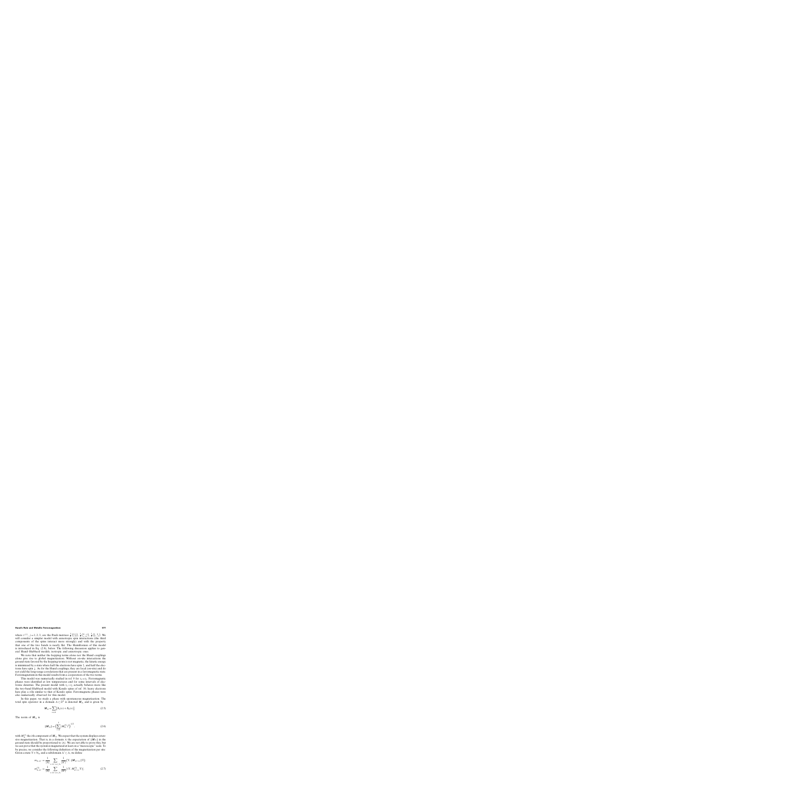where  $\tau^{(j)}$ ,  $j = 1, 2, 3$ , are the Pauli matrices  $\frac{1}{2} \begin{pmatrix} 0 & 1 \\ 1 & 0 \end{pmatrix}$ ,  $\frac{1}{2} \begin{pmatrix} 0 & -i \\ i & 0 \end{pmatrix}$ ,  $\frac{1}{2} \begin{pmatrix} 1 & 0 \\ 0 & -1 \end{pmatrix}$ . We will consider a simpler model with anisotropic spin interactions (the third components of the spins interact more strongly) and with the property that one of the two bands is nearly flat. The Hamiltonian of this model is introduced in Eq. (2.9), below. The following discussion applies to general Hund–Hubbard models, isotropic and anisotropic ones.

We note that neither the hopping terms alone nor the Hund couplings alone give rise to global magnetization. Without on-site interactions the ground state favored by the hopping terms is not magnetic; the kinetic energy is minimized by a state where half the electrons have spin  $\uparrow$ , and half the electrons have spin ↓. As for the Hund couplings, they are local (on-site) and do not yield the long-range correlations that are present in a ferromagnetic state. Ferromagnetism in this model results from a cooperation of the two terms.

This model was numerically studied in ref. 9 for  $t_1 = t_2$ . Ferromagnetic phases were identified at low temperatures and for some intervals of electronic densities. The present model with  $t_1 < t_2$  actually behaves more like the two-band Hubbard model with Kondo spins of ref. 10; heavy electrons here play a rôle similar to that of Kondo spins. Ferromagnetic phases were also numerically observed for this model.

In this paper, we study a phase with spontaneous magnetization. The total spin operator in a domain  $\Lambda \subset \mathbb{Z}^d$  is denoted  $M_\Lambda$  and is given by

$$
M_{\Lambda} = \sum_{x \in \Lambda} [S_1(x) + S_2(x)].
$$
 (2.5)

The norm of  $M_A$  is

$$
||M_{\Lambda}|| = \left(\sum_{i=1}^{3} (M_{\Lambda}^{(i)})^2\right)^{1/2},
$$
\n(2.6)

with  $M_{\Lambda}^{(i)}$  the *i*th component of  $M_{\Lambda}$ . We expect that the system displays extensive magnetization. That is, in a domain  $\Lambda$  the expectation of  $||M_{\Lambda}||$  in the ground state should be proportional to  $|\Lambda|$ . We are not able to prove this, but we can prove that the system is magnetized at least on a "mesoscopic" scale. To be precise, we consider the following definition of the magnetization per site: Given a state  $\Upsilon \in \mathcal{H}_{\Lambda}$  and a subdomain  $\Lambda' \subset \Lambda$ , we define

$$
m_{\Lambda,\Lambda'} = \frac{1}{|\Lambda|} \sum_{x:\Lambda'+x \subset \Lambda} \frac{1}{|\Lambda'|} (\Upsilon, ||\boldsymbol{M}_{\Lambda'+x}||\Upsilon);
$$
  

$$
m_{\Lambda,\Lambda'}^{(3)} = \frac{1}{|\Lambda|} \sum_{x:\Lambda'+x \subset \Lambda} \frac{1}{|\Lambda'|} |(\Upsilon, \boldsymbol{M}_{\Lambda'+x}^{(3)} \Upsilon)|.
$$
 (2.7)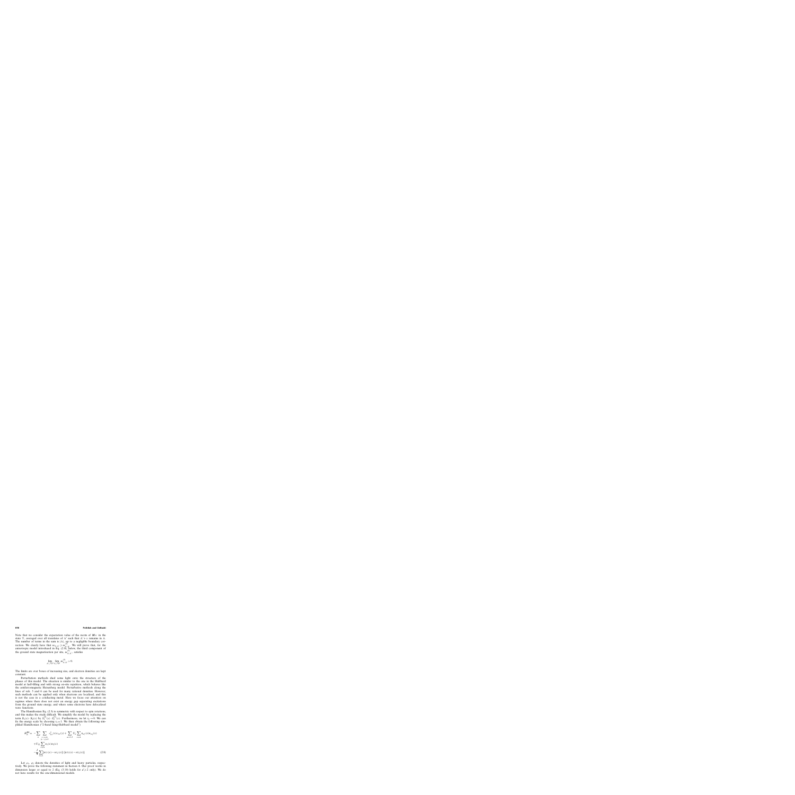Note that we consider the expectation value of the norm of  $M_{\Lambda}$  in the state  $\Upsilon$ , averaged over all translates of  $\Lambda'$  such that  $\Lambda' + x$  remains in  $\Lambda$ . The number of terms in the sum is  $|\Lambda|$ , up to a negligible boundary correction. We clearly have that  $m_{\Lambda,\Lambda'} \geq m_{\Lambda,\Lambda'}^{(3)}$ . We will prove that, for the anisotropic model introduced in Eq. (2.9), below, the third component of the ground state magnetization per site,  $m_{\Lambda,\Lambda'}^{(3)}$ , satisfies

$$
\lim_{\Lambda' \nearrow \mathbb{Z}^d} \lim_{\Lambda \nearrow \mathbb{Z}^d} m_{\Lambda, \Lambda'}^{(3)} > 0.
$$

The limits are over boxes of increasing size, and electron densities are kept constant.

Perturbation methods shed some light onto the structure of the phases of this model. The situation is similar to the one in the Hubbard model at half-filling and with strong on-site repulsion, which behaves like the antiferromagnetic Heisenberg model. Perturbative methods along the lines of refs. 5 and 6 can be used for many rational densities. However, such methods can be applied only when electrons are localized, and this is not the case in a conducting metal. Here we focus our attention on regimes where there does not exist an energy gap separating excitations from the ground state energy, and where some electrons have delocalized wave functions.

The Hamiltonian Eq. (2.3) is symmetric with respect to spin rotations, and this makes the study difficult. We simplify the model by replacing the term  $S_1(x) \cdot S_2(x)$  by  $S_1^{(3)}(x) \cdot S_2^{(3)}(x)$ . Furthermore, we let  $t_2 \rightarrow 0$ . We can fix the energy scale by choosing  $t_1 = 1$ . We then obtain the following simplified Hamiltonian ("2-band Ising-Hubbard model")

$$
H_{\Lambda}^{\text{IH}} = -\sum_{\sigma} \sum_{\substack{x,y \in \Lambda \\ |x-y| = 1}} c_{1\sigma}^{\dagger}(x)c_{1\sigma}(y) + \sum_{a=1,2} U_a \sum_{x \in \Lambda} n_{a\uparrow}(x)n_a\downarrow(x) + U_{12} \sum_{x \in \Lambda} n_1(x)n_2(x) - \frac{J}{4} \sum_{x \in \Lambda} [n_{1\uparrow}(x) - n_{1\downarrow}(x)] \cdot [n_{2\uparrow}(x) - n_{2\downarrow}(x)].
$$
(2.8)

Let  $\rho_1$ ,  $\rho_2$  denote the densities of light and heavy particles, respectively. We prove the following statement in Section 4. Our proof works in dimension larger or equal to 2 (Eq. (3.19) holds for  $d \ge 2$  only). We do not have results for the one-dimensional models.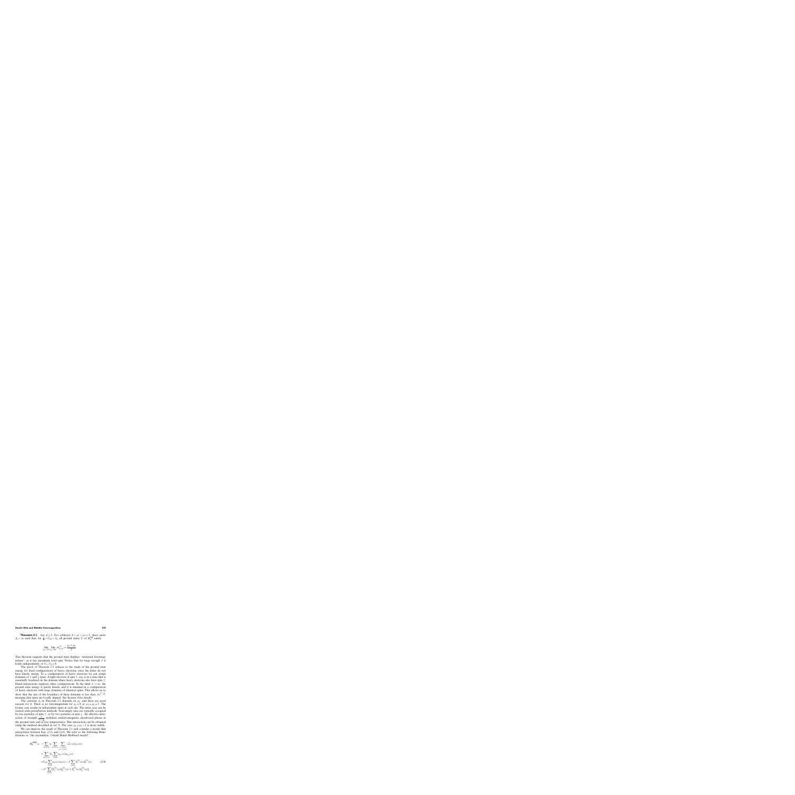**Theorem 2.1.** Let  $d \ge 2$ . For arbitrary  $0 < \rho_1 < \rho_2 \le 1$ , there exists  $J_0 < \infty$  such that, for  $\frac{J}{4} - U_{12} > J_0$ , all ground states  $\Upsilon$  of  $H_{\Lambda}^{\text{IH}}$  satisfy

$$
\lim_{\Lambda'/\mathbb{Z}^d} \lim_{\Lambda \nearrow \mathbb{Z}^d} m_{\Lambda,\Lambda'}^{(3)} = \frac{\rho_1 + \rho_2}{2}.
$$

This theorem suggests that the ground state displays "saturated ferromagnetism", as it has maximum total spin. Notice that for large enough J it holds independently of  $U_1, U_2 \ge 0$ .

The proof of Theorem 2.1 reduces to the study of the ground state energy for fixed configurations of heavy electrons, since the latter do not have kinetic energy. To a configuration of heavy electrons we can assign domains of  $\uparrow$  and  $\downarrow$  spins. A light electron of spin  $\uparrow$ , say, is in a state that is essentially localized on the domain where heavy electrons also have spin ↑. Hund interactions suppress other configurations. In the limit  $J \to \infty$ , the ground state energy is purely kinetic and it is minimal in a configuration of heavy electrons with large domains of identical spins. This allows us to show that the size of the boundary of these domains is less than  $|\Lambda|^{1-\frac{1}{d}}$ , meaning that spins are locally aligned. See Section 4 for details.

The constant  $J_0$  in Theorem 2.1 depends on  $\rho_1$ , and there are good reasons for it. There is no ferromagnetism for  $\rho_1 = 0$  or  $\rho_1 = \rho_2 = 1$ . The former case results in independent spins at each site. The latter case can be treated with perturbation methods. Non-empty sites are typically occupied by two particles of spin ↑, or by two particles of spin ↓. An effective interaction of strength  $\frac{2}{U_1 + \frac{1}{2}}$  stabilizes antiferromagnetic chessboard phases in the ground state and at low temperatures. This interaction can be obtained using the method described in ref. 6. The case  $\rho_1 = \rho_2 < 1$  is more subtle.

We can improve the result of Theorem 2.1 and consider a model that interpolates between Eqs. (2.3) and (2.8). We refer to the following Hamiltonian as "the asymmetric 2-band Hund–Hubbard model":

$$
H_{\Lambda}^{\text{aHH}} = -\sum_{a=1,2} t_a \sum_{\sigma=\uparrow,\downarrow} \sum_{\substack{x,y \in \Lambda \\ |x-y|=1}} c_{a\sigma}^{\dagger}(x) c_{a\sigma}(y)
$$
  
+ 
$$
\sum_{a=1,2} U_a \sum_{x \in \Lambda} n_{a\uparrow}(x) n_{a\downarrow}(x)
$$
  
+ 
$$
U_{12} \sum_{x \in \Lambda} n_1(x) n_2(x) - J \sum_{x \in \Lambda} S_1^{(3)}(x) S_2^{(3)}(x)
$$
  
- 
$$
J^{\perp} \sum_{x \in \Lambda} (S_1^{(1)}(x) S_2^{(1)}(x) + S_1^{(2)}(x) S_2^{(2)}(x)).
$$
 (2.9)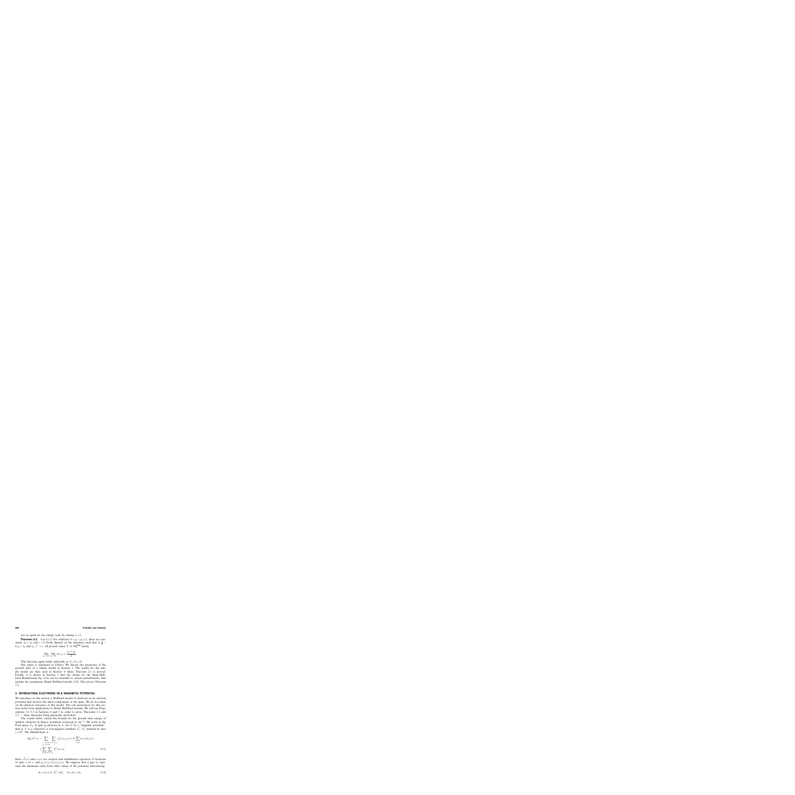Let us again fix the energy scale by setting  $t_1 = 1$ .

**Theorem 2.2.** Let  $d \ge 2$ . For arbitrary  $0 < \rho_1 < \rho_2 \le 1$ , there are constants  $J_0 < \infty$  and  $c > 0$  (both depend on the densities) such that if  $\frac{J}{4}$  –  $U_{12} > J_0$  and  $t_2, J^{\perp} < c$ , all ground states  $\Upsilon$  of  $H_{\Lambda}^{\text{aHH}}$  satisfy

$$
\lim_{\Lambda' \nearrow \mathbb{Z}^d} \lim_{\Lambda \nearrow \mathbb{Z}^d} m_{\Lambda, \Lambda'} = \frac{\rho_1 + \rho_2}{2}.
$$

This theorem again holds uniformly in  $U_1, U_2 \ge 0$ .

Our paper is organized as follows. We discuss the properties of the ground state of a simple model in Section 3. The results for the simple model are then used in Section 4 where Theorem 2.1 is proved. Finally, it is shown in Section 5 that the claims for the Ising–Hubbard Hamiltonian Eq. (2.8) can be extended to certain perturbations, that include the asymmetric Hund–Hubbard model (2.9). This proves Theorem 2.2.

# **3. INTERACTING ELECTRONS IN A MAGNETIC POTENTIAL**

We introduce in this section a Hubbard model of electrons in an external potential that involves the third components of the spins. We do not insist on the physical relevance of this model. The sole motivation for this section stems from applications to Hund–Hubbard systems. We will use Propositions 3.1–3.3 in Sections 4 and 5 in order to prove Theorems 2.1 and 2.2 — these theorems being physically motivated.

The results below extend the bounds for the ground state energy of spinless electrons in binary potentials proposed in ref. 7. We work in the Fock space  $\mathcal{F}_{\Lambda}$  of spin  $\frac{1}{2}$  electrons in  $\Lambda$ . Let V be a "magnetic potential", that is, V is a collection of non-negative numbers  $V_x^{\uparrow}$ ,  $V_x^{\downarrow}$  indexed by sites  $x \in \mathbb{Z}^d$ . The Hamiltonian is

$$
H_{\Lambda}(V) = -\sum_{\substack{x,y \in \Lambda \\ |x-y|=1}} \sum_{\sigma=\uparrow,\downarrow} c_{\sigma}^{\dagger}(x)c_{\sigma}(y) + U \sum_{x \in \Lambda} n_{\uparrow}(x)n_{\downarrow}(x) + \sum_{x \in \Lambda} \sum_{\sigma=\uparrow,\downarrow} V_{x}^{\sigma} n_{\sigma}(x).
$$
\n(3.1)

Here,  $c_{\sigma}^{\dagger}(x)$  and  $c_{\sigma}(x)$  are creation and annihilation operators of fermions of spin  $\sigma$  at x, and  $n_{\sigma}(x) = c_{\sigma}^{\dagger}(x)c_{\sigma}(x)$ . We suppose that a gap  $V_0$  separates the minimum value from other values of the potential. Introducing

$$
A_{\sigma} = \{x \in \Lambda : V_x^{\sigma} = 0\}, \quad A = A_{\uparrow} \cup A_{\downarrow}
$$
\n(3.2)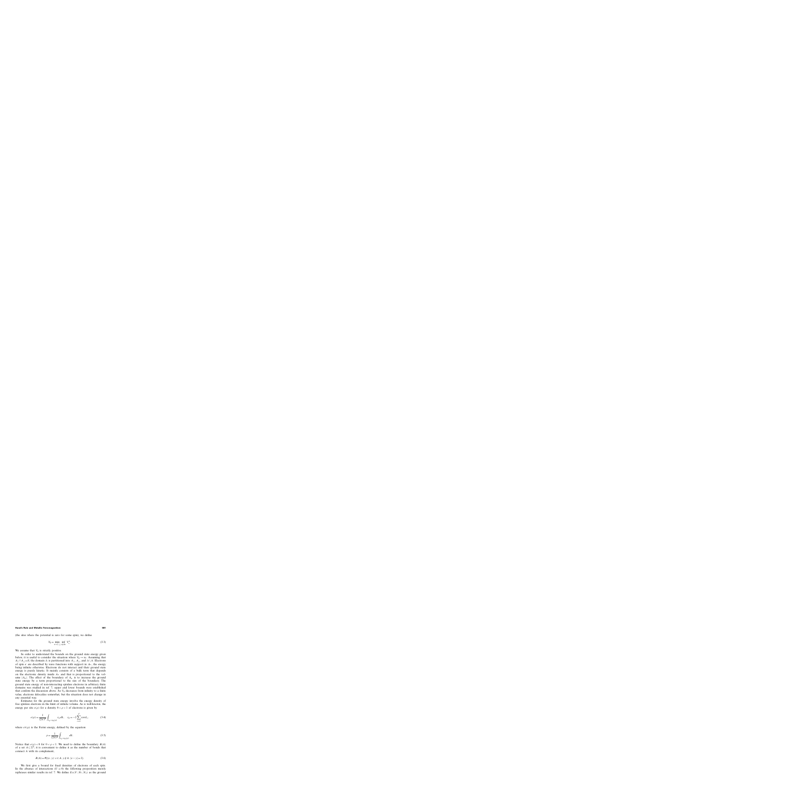(the sites where the potential is zero for some spin), we define

$$
V_0 = \min_{\sigma = \uparrow, \downarrow} \inf_{x \notin A_{\sigma}} V_x^{\sigma}.
$$
 (3.3)

We assume that  $V_0$  is strictly positive.

In order to understand the bounds on the ground state energy given below, it is useful to consider the situation where  $V_0 \rightarrow \infty$ . Assuming that  $A_{\uparrow} \cap A_{\downarrow} = \emptyset$ , the domain  $\Lambda$  is partitioned into  $A_{\uparrow}$ ,  $A_{\downarrow}$ , and  $\Lambda \setminus A$ . Electrons of spin  $\sigma$  are described by wave functions with support in  $A_{\sigma}$ , the energy being infinite otherwise. Electrons do not interact and their ground state energy is purely kinetic. It mainly consists of a bulk term that depends on the electronic density inside  $A_{\sigma}$  and that is proportional to the volume  $|A_{\sigma}|$ . The effect of the boundary of  $A_{\sigma}$  is to increase the ground state energy by a term proportional to the size of the boundary. The ground state energy of non-interacting spinless electrons in arbitrary finite domains was studied in ref. 7; upper and lower bounds were established that confirm the discussion above. As  $V_0$  decreases from infinity to a finite value, electrons delocalize somewhat, but the situation does not change in any essential way.

Estimates for the ground state energy involve the energy density of free spinless electrons in the limit of infinite volume. As is well-known, the energy per site  $e(\rho)$  for a density  $0 < \rho < 1$  of electrons is given by

$$
e(\rho) = \frac{1}{(2\pi)^d} \int_{\varepsilon_k < \varepsilon_F(\rho)} \varepsilon_k \, dk, \quad \varepsilon_k = -2 \sum_{i=1}^d \cos k_i,\tag{3.4}
$$

where  $\varepsilon_F(\rho)$  is the Fermi energy, defined by the equation

$$
\rho = \frac{1}{(2\pi)^d} \int_{\varepsilon_k < \varepsilon_{\mathrm{F}}(\rho)} dk. \tag{3.5}
$$

Notice that  $e(\rho) < 0$  for  $0 < \rho < 1$ . We need to define the boundary  $B(A)$ of a set  $A\subset \mathbb{Z}^d$ ; it is convenient to define it as the number of bonds that connect A with its complement,

$$
B(A) = #\{(x, y): x \in A, y \notin A, |x - y| = 1\}.
$$
 (3.6)

We first give a bound for fixed densities of electrons of each spin. In the absence of interactions  $(U = 0)$  the following proposition merely rephrases similar results in ref. 7. We define  $E_{\Lambda}(V; N_{\uparrow}, N_{\downarrow})$  as the ground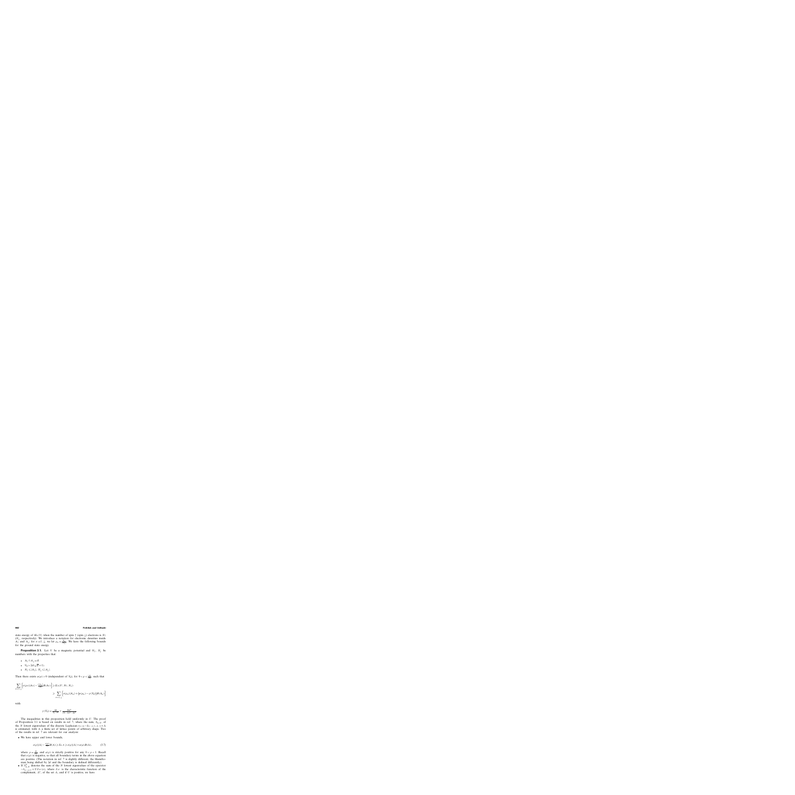state energy of  $H_{\Lambda}(V)$  when the number of spin  $\uparrow$  (spin  $\downarrow$ ) electrons is  $N_{\uparrow}$  $(N_{\downarrow})$ , respectively). We introduce a notation for electronic densities inside  $A_{\uparrow}$  and  $A_{\downarrow}$ ; for  $\sigma = \uparrow, \downarrow$ , we let  $\rho_{\sigma} = \frac{N_{\sigma}}{|A_{\sigma}|}$ . We have the following bounds for the ground state energy.

**Proposition 3.1.** Let V be a magnetic potential and  $N_{\uparrow}$ ,  $N_{\downarrow}$  be numbers with the properties that:

- $A_{\uparrow} \cap A_{\downarrow} = \emptyset$ .
- $V_0 > 2d(\sqrt{d} + 1)$ .
- $N_{\uparrow} \leqslant |A_{\uparrow}|, N_{\downarrow} \leqslant |A_{\downarrow}|.$

Then there exists  $\alpha(\rho) > 0$  (independent of  $V_0$ ), for  $0 < \rho < \frac{|A|}{|\Lambda|}$ , such that

$$
\sum_{\sigma=\uparrow,\downarrow} \left[ e(\rho_{\sigma}) |A_{\sigma}| - \frac{e(\rho_{\sigma})}{2d} B(A_{\sigma}) \right] \geqslant E_{\Lambda}(V; N_{\uparrow}, N_{\downarrow})
$$
\n
$$
\geqslant \sum_{\sigma=\uparrow,\downarrow} \left[ e(\rho_{\sigma}) |A_{\sigma}| + \left( \alpha(\rho_{\sigma}) - \gamma(V_{0}) \right) B(A_{\sigma}) \right]
$$

with

$$
\gamma(V_0) = \frac{4d}{V_0 - 2d} + \frac{16d^3}{(V_0 - 2d)^2 - 4d^3}.
$$

The inequalities in this proposition hold uniformly in  $U$ . The proof of Proposition 3.1 is based on results in ref. 7, where the sum,  $S_{\Lambda,N}$ , of the N lowest eigenvalues of the discrete Laplacian  $t_{xy} = -\delta_{|x-y|,1}, x, y \in \Lambda$ is estimated, with  $\Lambda$  a finite set of lattice points of arbitrary shape. Two of the results in ref. 7 are relevant for our analysis:

• We have upper and lower bounds,

$$
e(\rho)|\Lambda| - \frac{e(\rho)}{2d}B(\Lambda) \ge S_{\Lambda, N} \ge e(\rho)|\Lambda| + a(\rho)B(\Lambda), \tag{3.7}
$$

where  $\rho = \frac{N}{|\Lambda|}$ , and  $a(\rho)$  is strictly positive for any  $0 < \rho < 1$ . Recall that  $e(\rho)$  is negative, so that all boundary terms in the above equation are positive. (The notation in ref. 7 is slightly different, the Hamiltonian being shifted by 2d and the boundary is defined differently.)

• If  $S_{\Lambda,N}^U$  denotes the sum of the N lowest eigenvalues of the operator  $-\delta_{|x-y|,1} + U\chi_{\Lambda^c}(x)$ , where  $\chi_{\Lambda^c}$  is the characteristic function of the complement,  $\Lambda^c$ , of the set  $\Lambda$ , and if U is positive, we have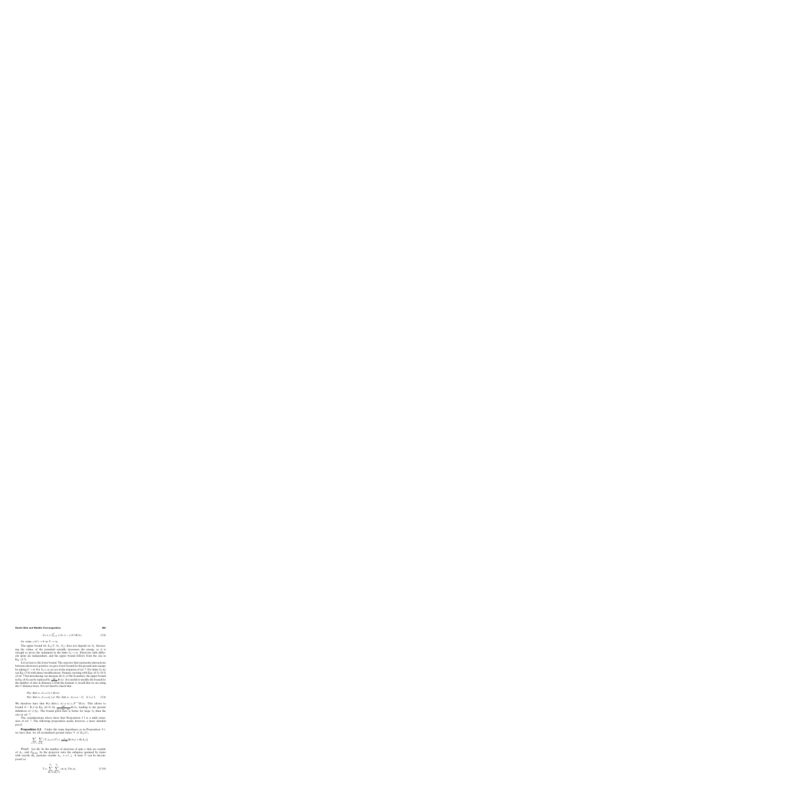$$
S_{\Lambda,N} \ge S_{\Lambda,N}^U \ge S_{\Lambda,N} - \gamma(U)B(\Lambda),\tag{3.8}
$$

for some  $\gamma(U) \to 0$  as  $U \to \infty$ .

The upper bound for  $E_{\Lambda}(V; N_{\uparrow}, N_{\downarrow})$  does not depend on  $V_0$ . Increasing the values of the potential actually incresases the energy, so it is enough to prove the statement in the limit  $V_0 \rightarrow \infty$ . Electrons with different spins are independent, and the upper bound follows from the one in Eq. (3.7).

Let us turn to the lower bound. The operator that represents interactions between electrons is positive; we get a lower bound for the ground state energy by taking  $U \rightarrow 0$ . For  $V_0 = \infty$  we are in the situation of ref. 7. For finite  $V_0$  we use Eq. (3.8) with minor modifications. Namely, starting with Eqs. (4.3)–(4.5) of ref. 7 but introducing our measure  $B(\Lambda)$  of the boundary, the upper bound in Eq. (4.8) can be replaced by  $\frac{4d}{\sqrt{0-2d}} B(\Lambda)$ . It is useful to modify the bound for the number of sites at distance *n* from the domain  $\Lambda$  (recall that we are using the  $\ell^1$  distance here). It is not hard to check that

$$
\begin{aligned} &\# \{x: \text{dist}\,(x,\,\Lambda) = 1\} \leq B(\Lambda); \\ &\# \{x: \text{dist}\,(x,\,\Lambda) = n\} \leq d \cdot \# \{x: \text{dist}\,(x,\,\Lambda) = n - 1\} \quad \text{if } n \geqslant 2. \end{aligned} \tag{3.9}
$$

We therefore have that  $\# \{x : \text{dist}(x, \Lambda) = n\} \leq d^{n-1} B(\Lambda)$ . This allows to bound  $N - \text{Tr} \tilde{\rho}$  in Eq. (4.11) by  $\frac{4d^2}{(V_0 - 2d)^2 - 4d^3} B(\Lambda)$ , leading to the present definition of  $\gamma(V_0)$ . The bound given here is better for large  $V_0$  than the one in ref. 7.

The considerations above show that Proposition 3.1 is a mild extension of ref. 7. The following proposition needs, however, a more detailed proof.

**Proposition 3.2.** Under the same hypotheses as in Proposition 3.1, we have that, for all normalized ground states  $\Upsilon$  of  $H_{\Lambda}(V)$ ,

$$
\sum_{\sigma=\uparrow,\,\downarrow}\sum_{x\notin A_{\sigma}}(\Upsilon,n_{\sigma}(x)\Upsilon)\leqslant \frac{3}{V_0-4d}[B(A_{\uparrow})+B(A_{\downarrow})].
$$

**Proof.** Let  $M_{\sigma}$  be the number of electrons of spin  $\sigma$  that are outside of  $A_{\sigma}$ , and  $P_{M_{\uparrow}M_{\downarrow}}$  be the projector onto the subspace spanned by states with exactly  $M_{\sigma}$  particles outside  $A_{\sigma}$ ,  $\sigma = \uparrow, \downarrow$ . A state  $\Upsilon$  can be decomposed as

$$
\Upsilon = \sum_{M_{\uparrow} = 0}^{N_{\uparrow}} \sum_{M_{\downarrow} = 0}^{N_{\downarrow}} c_{M_{\uparrow} M_{\downarrow}} \Upsilon_{M_{\uparrow} M_{\downarrow}}, \tag{3.10}
$$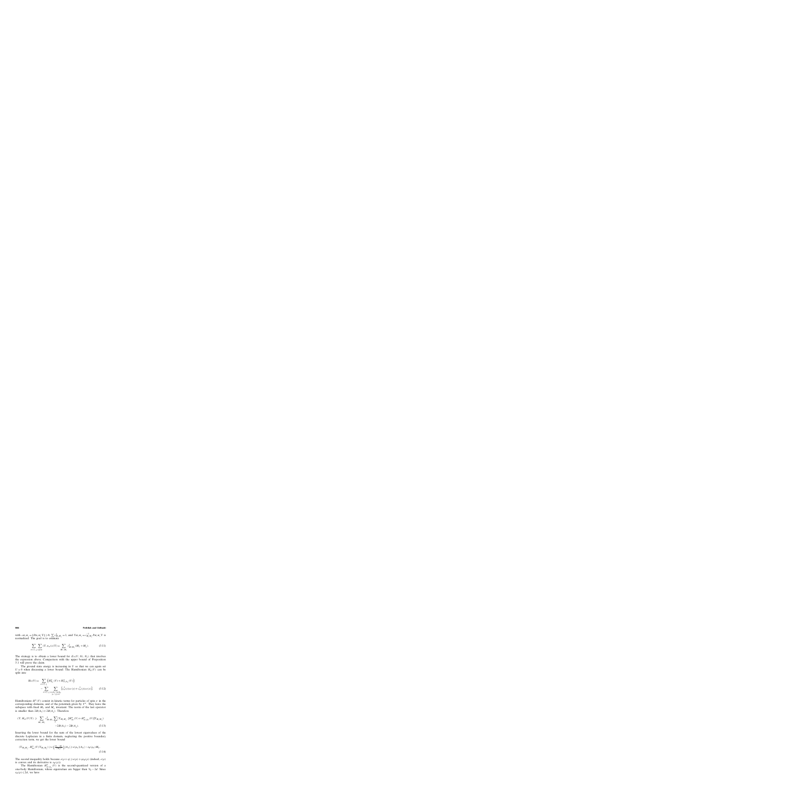with  $c_{M_{\uparrow}M_{\downarrow}} = ||P_{M_{\uparrow}M_{\downarrow}} \Upsilon|| \ge 0$ ,  $\sum c_{M_{\uparrow}M_{\downarrow}}^2 = 1$ , and  $\Upsilon_{M_{\uparrow}M_{\downarrow}} = c_{M_{\uparrow}M_{\downarrow}}^{-1} P_{M_{\uparrow}M_{\downarrow}} \Upsilon$  is normalized. The goal is to estimate

$$
\sum_{\sigma=\uparrow,\downarrow} \sum_{x \notin A_{\sigma}} (\Upsilon, n_{\sigma}(x)\Upsilon) = \sum_{M_{\uparrow}, M_{\downarrow}} c_{M_{\uparrow}M_{\downarrow}}^2 (M_{\uparrow} + M_{\downarrow}). \tag{3.11}
$$

The strategy is to obtain a lower bound for  $E_{\Lambda}(V; N_{\uparrow}, N_{\downarrow})$  that involves the expression above. Comparison with the upper bound of Proposition 3.1 will prove the claim.

The ground state energy is increasing in  $U$  so that we can again set  $U = 0$  when discussing a lower bound. The Hamiltonian  $H_{\Lambda}(V)$  can be split into

$$
H_{\Lambda}(V) = \sum_{\sigma=\uparrow,\downarrow} \left( H^{\sigma}_{A_{\sigma}}(V) + H^{\sigma}_{\Lambda \setminus A_{\sigma}}(V) \right)
$$
  
 
$$
- \sum_{\sigma=\uparrow,\downarrow} \sum_{\substack{x \in A_{\sigma}, y \notin A_{\sigma} \\ |x-y|=1}} \left[ c^{\dagger}_{\sigma}(x) c_{\sigma}(y) + c^{\dagger}_{\sigma}(y) c_{\sigma}(x) \right]. \tag{3.12}
$$

Hamiltonians  $H^{\sigma}(V)$  consist in kinetic terms for particles of spin  $\sigma$  in the corresponding domains, and of the potentials given by  $V^{\sigma}$ . They leave the subspace with fixed  $M_{\uparrow}$  and  $M_{\downarrow}$  invariant. The norm of the last operator is smaller than  $2B(A<sub>†</sub>) + 2B(A<sub>⊥</sub>)$ . Therefore

$$
(\Upsilon, H_{\Lambda}(V)\Upsilon) \geq \sum_{M_{\uparrow}, M_{\downarrow}} c_{M_{\uparrow}M_{\downarrow}}^2 \sum_{\sigma} (\Upsilon_{M_{\uparrow}M_{\downarrow}}, [H_{A_{\sigma}}^{\sigma}(V) + H_{\Lambda \setminus A_{\sigma}}^{\sigma}(V)] \Upsilon_{M_{\uparrow}M_{\downarrow}})
$$
  
-2B(A<sub>1</sub>) - 2B(A<sub>1</sub>). (3.13)

Inserting the lower bound for the sum of the lowest eigenvalues of the discrete Laplacian in a finite domain, neglecting the positive boundary correction term, we get the lower bound

$$
(\Upsilon_{M_{\uparrow}M_{\downarrow}}, H_{A_{\sigma}}^{\sigma}(V)\Upsilon_{M_{\uparrow}M_{\downarrow}}) \geq e\left(\frac{N_{\sigma}-M_{\sigma}}{|A_{\sigma}|}\right)|A_{\sigma}| \geq e(\rho_{\sigma})|A_{\sigma}| - \varepsilon_{\text{F}}(\rho_{\sigma})M_{\sigma}.
$$
\n(3.14)

The second inequality holds because  $e(\rho + \eta) \geq e(\rho) + \eta \varepsilon_F(\rho)$  (indeed,  $e(\rho)$ ) is convex and its derivative is  $\varepsilon_F(\rho)$ ).

The Hamiltonian  $H^{\sigma}_{\Lambda \setminus A_{\sigma}}(V)$  is the second-quantized version of a one-body Hamiltonian, whose eigenvalues are bigger than  $V_0 - 2d$ . Since  $\varepsilon_{\text{F}}(\rho) \leq 2d$ , we have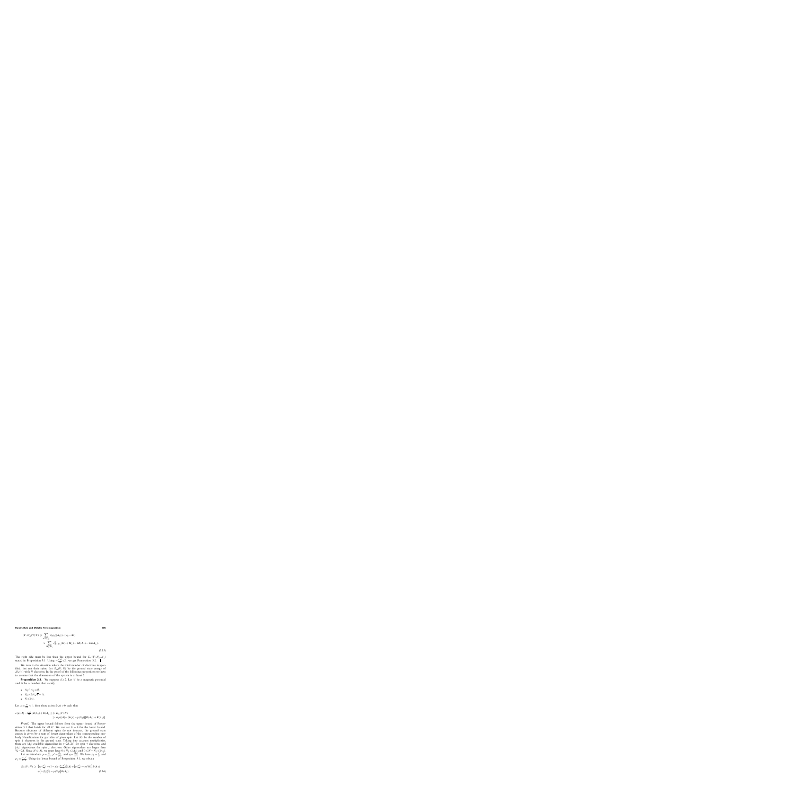$$
(\Upsilon, H_{\Lambda}(V)\Upsilon) \geq \sum_{\sigma=\uparrow,\downarrow} e(\rho_{\sigma})|A_{\sigma}| + (V_0 - 4d)
$$
  
\$\times \sum\_{M\_{\uparrow},M\_{\downarrow}} c\_{M\_{\uparrow}M\_{\downarrow}}^2(M\_{\uparrow} + M\_{\downarrow}) - 2B(A\_{\uparrow}) - 2B(A\_{\downarrow}). \tag{3.15}

The right side must be less than the upper bound for  $E_{\Lambda}(V; N_{\uparrow}, N_{\downarrow})$ stated in Proposition 3.1. Using  $-\frac{e(\rho)}{2d} \leq 1$ , we get Proposition 3.2. П

We turn to the situation where the total number of electrons is specified, but not their spins. Let  $E_{\Lambda}(V;N)$  be the ground state energy of  $H_{\Lambda}(V)$  with N electrons. In the proof of the following proposition we have to assume that the dimension of the system is at least 2.

**Proposition 3.3.** We suppose  $d \ge 2$ . Let V be a magnetic potential and  $N$  be a number, that satisfy

- $A_{\uparrow} \cap A_{\downarrow} = \emptyset$ .
- $V_0 > 2d(\sqrt{d} + 1)$ .
- $N \leqslant |A|$ .

Let  $\rho = \frac{N}{|A|} < 1$ ; then there exists  $\bar{\alpha}(\rho) > 0$  such that

$$
e(\rho)|A| - \frac{e(\rho)}{2d}[B(A_{\uparrow}) + B(A_{\downarrow})] \ge E_{\Lambda}(V;N)
$$
  
\$\ge e(\rho)|A| + (\bar{\alpha}(\rho) - \gamma(V\_0))[B(A\_{\uparrow}) + B(A\_{\downarrow})].

Proof. The upper bound follows from the upper bound of Proposition 3.1 that holds for all U. We can set  $U = 0$  for the lower bound. Because electrons of different spins do not interact, the ground state energy is given by a sum of lowest eigenvalues of the corresponding onebody Hamiltonians for particles of given spin. Let  $N_{\uparrow}$  be the number of spin  $\uparrow$  electrons in the ground state. Taking into account multiplicities, there are  $|A_{\uparrow}|$  available eigenvalues in  $(-2d, 2d)$  for spin  $\uparrow$  electrons, and  $|A_{\downarrow}|$  eigenvalues for spin  $\downarrow$  electrons. Other eigenvalues are larger than  $V_0 - 2d$ . Since  $N \leq |A|$ , we must have  $0 \leq N_\uparrow \leq |A_\uparrow|$  and  $0 \leq N - N_\uparrow \leq |A_\downarrow|$ .

Let us introduce  $\rho = \frac{N}{|A|}$ ,  $\rho' = \frac{N_{\uparrow}}{|A|}$ , and  $\eta = \frac{|A_{\uparrow}|}{|A|}$ . We have  $\rho_{\uparrow} = \frac{\rho'}{\eta}$  and  $\rho_{\downarrow} = \frac{\rho - \rho'}{1 - \eta}$ . Using the lower bound of Proposition 3.1, we obtain

$$
E_{\Lambda}(V;N) \geq \left\{ \eta e(\frac{\rho'}{\eta}) + (1-\eta)e(\frac{\rho-\rho'}{1-\eta}) \right\} |A| + \left[ \alpha(\frac{\rho'}{\eta}) - \gamma(V_0) \right] B(A_{\uparrow}) + \left[ \alpha(\frac{\rho-\rho'}{1-\eta}) - \gamma(V_0) \right] B(A_{\downarrow}). \tag{3.16}
$$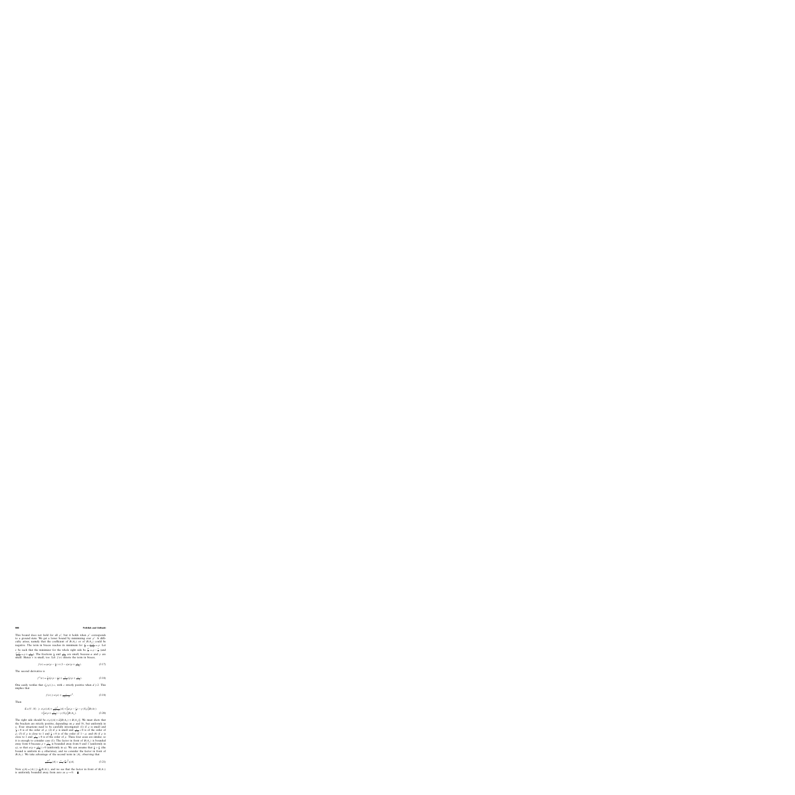#### **986 Fröhlich and Ueltschi**

This bound does not hold for all  $\rho'$ , but it holds when  $\rho'$  corresponds to a ground state. We get a lower bound by minimizing over  $\rho'$ . A difficulty arises, namely that the coefficient of  $B(A<sub>†</sub>)$  or of  $B(A<sub>⊥</sub>)$  could be negative. The term in braces reaches its minimum for  $\frac{\rho'}{\eta} = \frac{\rho - \rho'}{1 - \eta} = \rho$ . Let  $\epsilon$  be such that the minimizer for the whole right side be  $\frac{\rho'}{n} = \rho - \frac{\epsilon}{n}$  (and  $\frac{\rho-\rho'}{1-\eta} = \rho + \frac{\epsilon}{1-\eta}$ ). The fractions  $\frac{\epsilon}{\eta}$  and  $\frac{\epsilon}{1-\eta}$  are small, because  $\alpha$  and  $\gamma$  are small. Hence  $\epsilon$  is small, too. Let  $f(\epsilon)$  denote the term in braces,

$$
f(\epsilon) = \eta e(\rho - \frac{\epsilon}{\eta}) + (1 - \eta)e(\rho + \frac{\epsilon}{1 - \eta}).
$$
\n(3.17)

The second derivative is

$$
f''(\epsilon) = \frac{1}{\eta} \varepsilon_{\rm F}'(\rho - \frac{\epsilon}{\eta}) + \frac{1}{1 - \eta} \varepsilon_{\rm F}'(\rho + \frac{\epsilon}{1 - \eta}).
$$
\n(3.18)

One easily verifies that  $\varepsilon'_F(\rho) \geq c$ , with c strictly positive when  $d \geq 2$ . This implies that

$$
f(\epsilon) \geqslant e(\rho) + \frac{c}{2\eta(1-\eta)}\epsilon^2. \tag{3.19}
$$

Then

$$
E_{\Lambda}(V;N) \geq e(\rho)|A| + \frac{c\epsilon^2}{\eta(1-\eta)}|A| + [\alpha(\rho - \frac{\epsilon}{\eta}) - \gamma(V_0)]B(A_{\uparrow})
$$
  
 
$$
+ [\alpha(\rho + \frac{\epsilon}{1-\eta}) - \gamma(V_0)]B(A_{\downarrow}). \tag{3.20}
$$

The right side should be  $e(\rho)|A|+\bar{\alpha}[B(A_{\uparrow})+B(A_{\downarrow})]$ . We must show that the brackets are strictly positive, depending on  $\rho$  and  $V_0$ , but uniformly in η. Four situations need to be carefully investigated: (1) if  $ρ$  is small and  $\frac{1}{\sqrt{7}}$  > 0 is of the order of  $\rho$ ; (2) if  $\rho$  is small and  $\frac{\epsilon}{1-\eta}$  < 0 is of the order of  $\frac{p}{\rho}$ ; (3) if  $\rho$  is close to 1 and  $\frac{\epsilon}{n} < 0$  is of the order of 1 -  $\rho$ ; and (4) if  $\rho$  is close to 1 and  $\frac{\epsilon}{1-\eta} > 0$  is of the order of  $\rho$ . These four cases are similar, so it is enough to consider case (1). The factor in front of  $B(A)$  is bounded away from 0 because  $\rho + \frac{\epsilon}{1-\eta}$  is bounded away from 0 and 1 (uniformly in η), so that  $\alpha(\rho + \frac{\epsilon}{1-\eta}) > 0$  (uniformly in η). We can assume that  $\frac{\epsilon}{\eta} > \frac{\rho}{2}$  (the bound is uniform in  $\eta$  otherwise), and we consider the factor in front of  $B(A<sub>†</sub>)$ . We take advantage of the second term in |A|, observing that

$$
\frac{c\epsilon^2}{\eta(1-\eta)}|A| > \frac{c}{1-\eta} \left(\frac{\rho}{2}\right)^2 \eta |A|.\tag{3.21}
$$

Now  $\eta |A| = |A_{\uparrow}| \ge \frac{1}{2d} B(A_{\uparrow})$ , and we see that the factor in front of  $B(A_{\uparrow})$ is uniformly bounded away from zero as  $\eta \rightarrow 0$ .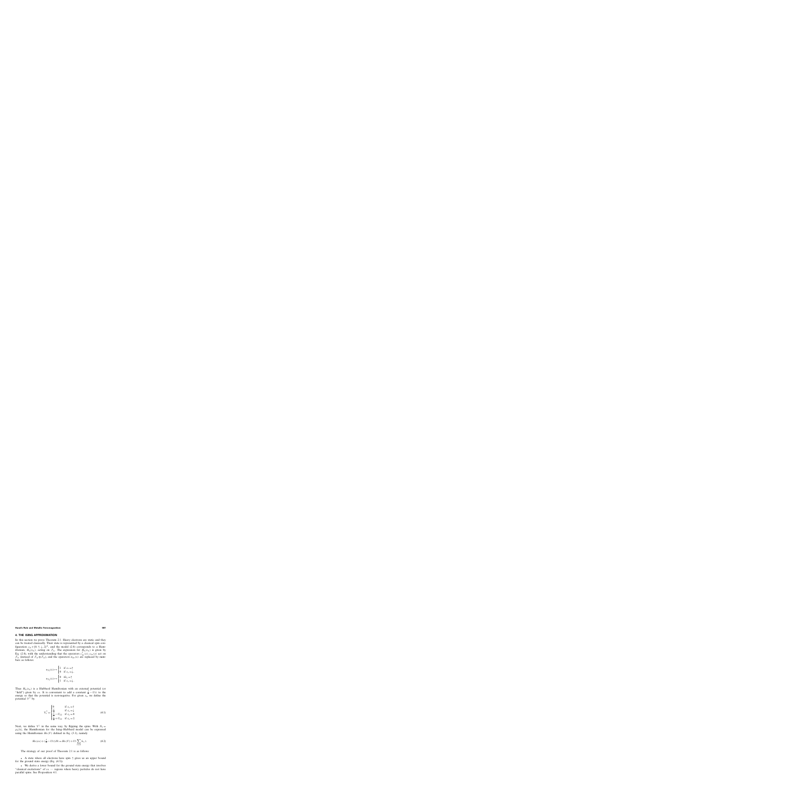### **4. THE ISING APPROXIMATION**

In this section we prove Theorem 2.1. Heavy electrons are static and they can be treated classically. Their state is represented by a classical spin configuration  $s_{\Lambda} \in \{0, \uparrow, \downarrow, 2\}^{\Lambda}$ , and the model (2.8) corresponds to a Hamiltonian,  $H_{\Lambda}(s_{\Lambda})$ , acting on  $\mathcal{F}_{\Lambda}$ . The expression for  $H_{\Lambda}(s_{\Lambda})$  is given by Eq. (2.8), with the understanding that the operators  $c_{1\sigma}^{\dagger}(x)$ ,  $c_{1\sigma}(x)$  act on  $\mathcal{F}_{\Lambda}$  (instead of  $\mathcal{F}_{\Lambda} \otimes \mathcal{F}_{\Lambda}$ ), and the operators  $n_{2\sigma}(x)$  are replaced by numbers as follows:

$$
n_{2\uparrow}(x) \mapsto \begin{cases} 1 & \text{if } s_x = \uparrow \\ 0 & \text{if } s_x = \downarrow, \end{cases}
$$

$$
n_{2\downarrow}(x) \mapsto \begin{cases} 0 & \text{if } s_x = \uparrow \\ 1 & \text{if } s_x = \downarrow. \end{cases}
$$

Thus  $H_{\Lambda}(s_{\Lambda})$  is a Hubbard Hamiltonian with an external potential (or "field") given by  $s_A$ . It is convenient to add a constant  $\frac{J}{4} - U_{12}$  to the energy so that the potential is non-negative. For given  $s_{\Lambda}$  we define the potential  $V^{\uparrow}$  by

$$
V_x^{\uparrow} = \begin{cases} 0 & \text{if } s_x = \uparrow \\ \frac{J}{2} & \text{if } s_x = \downarrow \\ \frac{J}{4} - U_{12} & \text{if } s_x = 0 \\ \frac{J}{4} + U_{12} & \text{if } s_x = 2. \end{cases}
$$
(4.1)

Next, we define  $V^{\downarrow}$  in the same way, by flipping the spins. With  $N_1 =$  $\rho_1|\Lambda|$ , the Hamiltonian for the Ising–Hubbard model can be expressed using the Hamiltonian  $H_{\Lambda}(V)$  defined in Eq. (3.1), namely

$$
H_{\Lambda}(s_{\Lambda}) + (\frac{J}{4} - U_{12})N_1 = H_{\Lambda}(V) + U_2 \sum_{x \in \Lambda} \delta_{s_x,2}.
$$
 (4.2)

The strategy of our proof of Theorem 2.1 is as follows:

• A state where all electrons have spin  $\uparrow$  gives us an upper bound for the ground state energy (Eq. (4.3)).

• We derive a lower bound for the ground state energy that involves "classical excitations" of  $s_A$  — regions where heavy particles do not have parallel spins. See Proposition 4.1.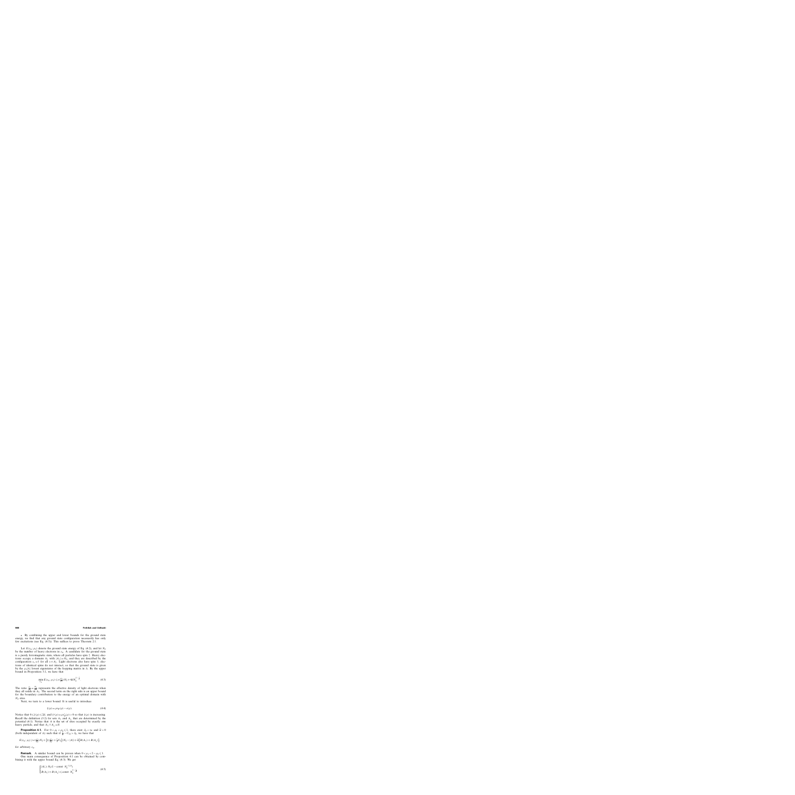• By combining the upper and lower bounds for the ground state energy, we find that any ground state configuration necessarily has only few excitations (see Eq. (4.5)). This suffices to prove Theorem 2.1.

Let  $E(s_{\Lambda}; \rho_1)$  denote the ground state energy of Eq. (4.2), and let  $N_2$ be the number of heavy electrons in  $s_A$ . A candidate for the ground state is a purely ferromagnetic state, where all particles have spin ↑. Heavy electrons occupy a domain  $A_{\uparrow}$  with  $|A_{\uparrow}| = N_2$ , and they are described by the configuration  $s_x = \uparrow$  for all  $x \in A_{\uparrow}$ . Light electrons also have spin  $\uparrow$ ; electrons of identical spins do not interact, so that the ground state is given by the  $\rho_1|\Lambda|$  lowest eigenstates of the hopping matrix in  $\Lambda$ . By the upper bound in Proposition 3.1, we have that

$$
\min_{s_{\Lambda}} E(s_{\Lambda}; \rho_1) \leqslant e(\frac{\rho_1}{\rho_2})N_2 + 4dN_2^{1-\frac{1}{d}}.
$$
\n(4.3)

The ratio  $\frac{\rho_1}{\rho_2} = \frac{N_1}{N_2}$  represents the effective density of light electrons when they all reside in  $A_{\uparrow}$ . The second term on the right side is an upper bound for the boundary contribution to the energy of an optimal domain with  $N_2$  sites.

Next, we turn to a lower bound. It is useful to introduce

$$
\xi(\rho) = \rho \varepsilon_{\mathcal{F}}(\rho) - e(\rho). \tag{4.4}
$$

Notice that  $0 \le \xi(\rho) \le 2d$ , and  $\xi'(\rho) = \rho \varepsilon'_F(\rho) > 0$  so that  $\xi(\rho)$  is increasing. Recall the definition (3.2) for sets  $A_{\uparrow}$  and  $A_{\downarrow}$  that are determined by the potential  $(4.1)$ . Notice that A is the set of sites occupied by exactly one heavy particle, and that  $A_{\uparrow} \cap A_{\downarrow} = \emptyset$ .

**Proposition 4.1.** For  $0 < \rho_1 < \rho_2 \le 1$ , there exist  $J_0 < \infty$  and  $\tilde{\alpha} > 0$ <br>a independent of A) such that if  $\tilde{J} = I/\alpha > I_0$ , we have that (both independent of  $\Lambda$ ) such that if  $\frac{7}{4} - U_{12} > J_0$ , we have that

$$
E(s_{\Lambda};\rho_1) \geqslant e(\tfrac{\rho_1}{\rho_2})N_2 + \left[\xi(\tfrac{\rho_1}{\rho_2}) + \frac{1}{2}U_2\right](N_2 - |A|) + \widetilde{\alpha}\left[B(A_{\uparrow}) + B(A_{\downarrow})\right],
$$

for arbitrary  $s_{\Lambda}$ .

**Remark.** A similar bound can be proven when  $0 < \rho_1 < 2 - \rho_2 \le 1$ .

One main consequence of Proposition 4.1 can be obtained by combining it with the upper bound Eq. (4.3). We get

$$
\begin{cases} |A| \ge N_2 (1 - \text{const} \cdot N_2^{-1/d}) \\ B(A_{\uparrow}) + B(A_{\downarrow}) \le \text{const} \cdot N_2^{1 - \frac{1}{d}} \end{cases}
$$
(4.5)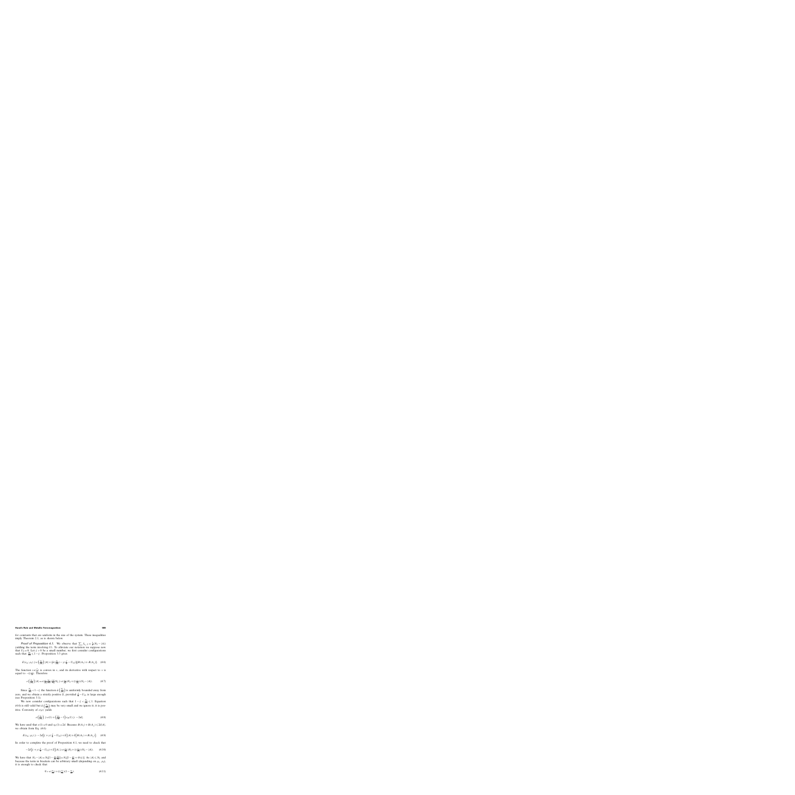for constants that are uniform in the size of the system. These inequalities imply Theorem 2.1, as is shown below.

**Proof of Proposition 4.1.** We observe that  $\sum_{x} \delta_{s_x,2} = \frac{1}{2}(N_2 - |A|)$ yielding the term involving  $U_2$ . To alleviate our notation we suppose now that  $U_2 = 0$ . Let  $\zeta > 0$  be a small number; we first consider configurations such that  $\frac{N_1}{|A|} \leq 1 - \zeta$ . Proposition 3.3 gives

$$
E(s_{\Lambda}; \rho_1) \geq e\left(\frac{N_1}{|A|}\right)|A| + \left(\bar{\alpha}\left(\frac{N_1}{|A|}\right) - \gamma\left(\frac{J}{4} - U_{12}\right)\right)[B(A_{\uparrow}) + B(A_{\downarrow})]. \tag{4.6}
$$

The function  $ve(\frac{\rho}{v})$  is convex in  $v$ , and its derivative with respect to v is equal to  $-\xi(\frac{\rho}{v})$ . Therefore

$$
e\left(\frac{N_1}{|A|}\right)|A| = e\left(\frac{\rho_1}{\rho_2}\frac{N_2}{|A|}\right)\frac{|A|}{N_2}N_2 \ge e\left(\frac{\rho_1}{\rho_2}\right)N_2 + \xi\left(\frac{\rho_1}{\rho_2}\right)(N_2 - |A|). \tag{4.7}
$$

Since  $\frac{N_1}{|A|} < 1 - \zeta$  the function  $\bar{\alpha} \left( \frac{N_1}{|A|} \right)$  is uniformly bounded away from zero, and we obtain a strictly positive  $\alpha'$ , provided  $\frac{J}{4} - U_{12}$  is large enough (see Proposition 3.1).

We now consider configurations such that  $1 - \zeta < \frac{N_1}{|A|} \leq 1$ . Equation (4.6) is still valid but  $\bar{\alpha} \left( \frac{N_1}{|A|} \right)$  may be very small and we ignore it; it is positive. Convexity of  $e(\rho)$  yields

$$
e\left(\frac{N_1}{|A|}\right) \geqslant e(1) + \left(\frac{N_1}{|A|} - 1\right)\varepsilon_{\mathcal{F}}(1) \geqslant -2d\zeta. \tag{4.8}
$$

We have used that  $e(1)=0$  and  $\varepsilon_F(1)=2d$ . Because  $B(A_\uparrow)+B(A_\downarrow)\leq 2d|A|$ , we obtain from Eq. (4.6)

$$
E(s_{\Lambda};\rho_1) \geq -2d\big[\zeta + \gamma(\frac{J}{4} - U_{12}) + \widetilde{\alpha}\big]|A| + \widetilde{\alpha}\big[B(A_{\uparrow}) + B(A_{\downarrow})\big].\tag{4.9}
$$

In order to complete the proof of Proposition 4.1, we need to check that

$$
-2d[\zeta + \gamma(\frac{J}{4} - U_{12}) + \widetilde{\alpha}]|A| \ge e(\frac{\rho_1}{\rho_2})N_2 + \xi(\frac{\rho_1}{\rho_2})(N_2 - |A|). \tag{4.10}
$$

We have that  $N_2 - |A| = N_2[1 - \frac{\rho_1}{\rho_2}]$  $\frac{|A|}{N_1}$ ] = N<sub>2</sub>[1 −  $\frac{\rho_1}{\rho_2}$  + O(ζ)]. As |A| ≤ N<sub>2</sub> and because the term in brackets can be arbitrary small (depending on  $\rho_1$ ,  $\rho_2$ ), it is enough to check that

$$
0 > e\left(\frac{\rho_1}{\rho_2}\right) + \xi\left(\frac{\rho_1}{\rho_2}\right)\left(1 - \frac{\rho_1}{\rho_2}\right). \tag{4.11}
$$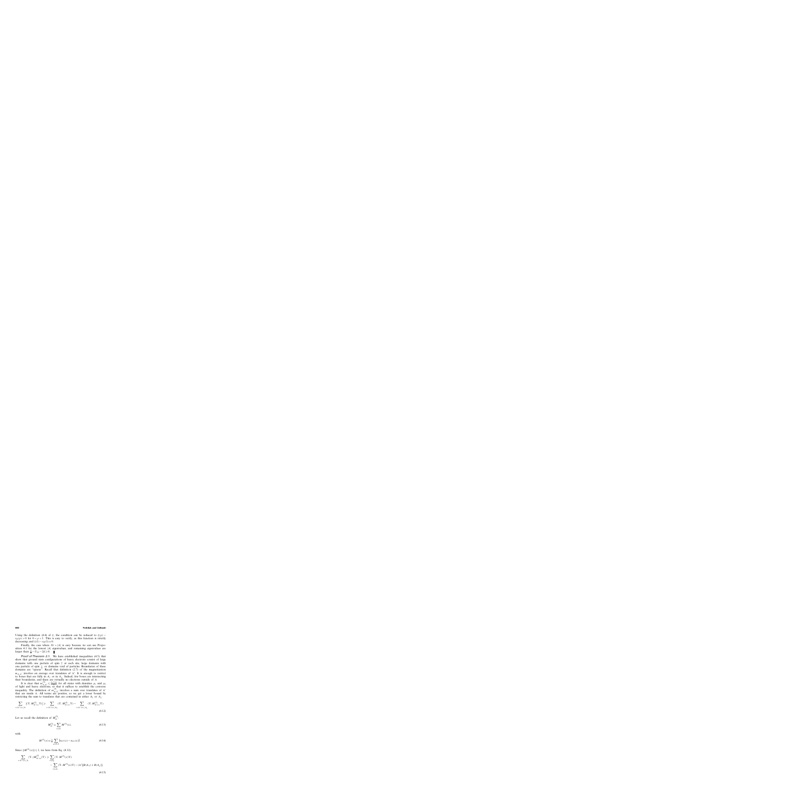Using the definition (4.4) of  $\xi$ , the condition can be reduced to  $\xi(\rho)$  –  $\varepsilon_F(\rho) > 0$  for  $0 < \rho < 1$ . This is easy to verify, as this function is strictly decreasing and  $\xi(1)-\varepsilon_F(1)=0$ .

Finally, the case where  $N_1 > |A|$  is easy because we can use Proposition 4.1 for the lowest |A| eigenvalues, and remaining eigenvalues are larger than  $\frac{J}{4} - U_{12} - 2d \ge 0$ .  $\blacksquare$ 

Proof of Theorem 2.1. We have established inequalities (4.5) that show that ground state configurations of heavy electrons consist of large domains with one particle of spin  $\uparrow$  at each site, large domains with one particle of spin  $\downarrow$ , or domains void of particles. Boundaries of these domains are "sparse". Recall that definition (2.7) of the magnetization  $m_{\Lambda,\Lambda'}$  involves an average over translates of  $\Lambda'$ . It is enough to restrict to boxes that are fully in  $A_{\uparrow}$  or in  $A_{\downarrow}$ . Indeed, few boxes are intersecting their boundaries, and there are virtually no electrons outside of A.

It is clear that  $m_{\Lambda,\Lambda'}^{(3)} \leq \frac{\rho_1+\rho_2}{2}$  for all states with densities  $\rho_1$  and  $\rho_2$ of light and heavy electrons, so that it suffices to establish the converse<br>inequality. The definition of  $m_{\Lambda,\Lambda'}^{(3)}$  involves a sum over translates of  $\Lambda'$ that are inside  $\Lambda$ . All terms are positive, so we get a lower bound by restricting the sum to translates that are contained in either  $A_{\uparrow}$  or  $A_{\downarrow}$ :

$$
\sum_{x:\Lambda'+x\subset\Lambda} |(\Upsilon, M^{(3)}_{\Lambda'+x}\Upsilon)| \geqslant \sum_{x:\Lambda'+x\subset A_{\uparrow}} (\Upsilon, M^{(3)}_{\Lambda'+x}\Upsilon) - \sum_{x:\Lambda'+x\subset A_{\downarrow}} (\Upsilon, M^{(3)}_{\Lambda'+x}\Upsilon).
$$
\n(4.12)

Let us recall the definition of  $M_{\Lambda'}^{(3)}$ :

$$
M_{\Lambda'}^{(3)} = \sum_{x \in \Lambda'} M^{(3)}(x),\tag{4.13}
$$

with

$$
M^{(3)}(x) = \frac{1}{2} \sum_{a=1,2} \left( n_{a\uparrow}(x) - n_{a\downarrow}(x) \right). \tag{4.14}
$$

Since  $||M^{(3)}(x)|| \le 1$ , we have from Eq. (4.12)

$$
\sum_{x:\Lambda'+x\subset\Lambda} (\Upsilon, |M_{\Lambda'+x}^{(3)}|\Upsilon) \ge \sum_{x\in A_{\uparrow}} (\Upsilon, M^{(3)}(x)\Upsilon) - \sum_{x\in A_{\downarrow}} (\Upsilon, M^{(3)}(x)\Upsilon) - |\Lambda'| [B(A_{\uparrow}) + B(A_{\downarrow})].
$$
\n(4.15)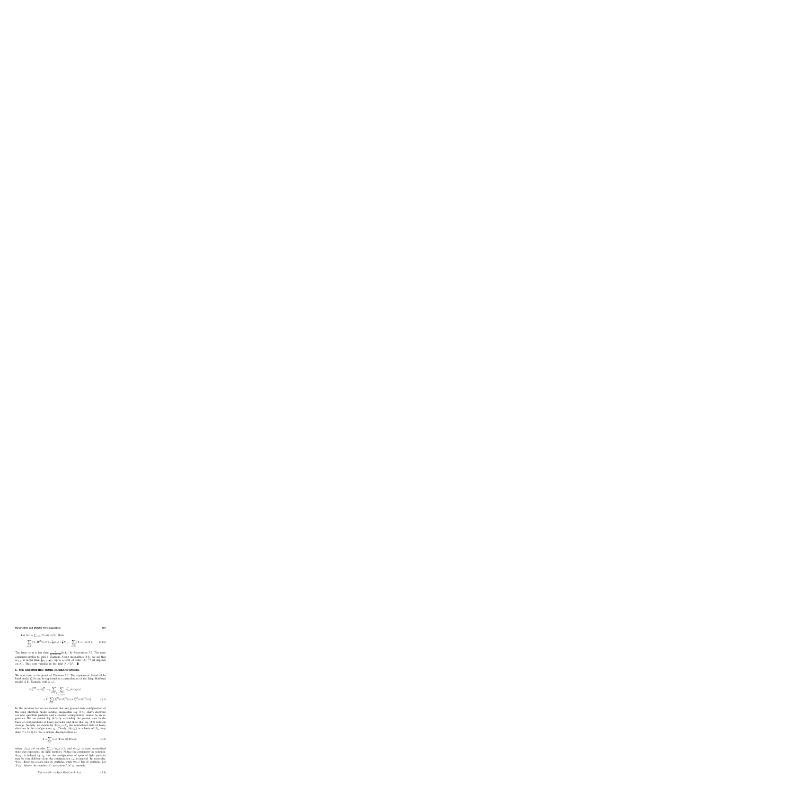Let 
$$
N_{1\uparrow} = \sum_{x \in \Lambda} (\Upsilon, n_{1\uparrow}(x)\Upsilon)
$$
; then  
\n
$$
\sum_{x \in A_{\uparrow}} (\Upsilon, M^{(3)}(x)\Upsilon) = \frac{1}{2}|A_{\uparrow}| + \frac{1}{2}N_{1\uparrow} - \sum_{x \notin A_{\uparrow}} (\Upsilon, n_{1\uparrow}(x)\Upsilon).
$$
 (4.16)

The latter term is less than  $\frac{3}{4}$ -U<sub>12</sub>-4d  $B(A_+)$  by Proposition 3.2. The same argument applies to spin  $\downarrow$  electrons. Using inequalities (4.5), we see that  $m_{\Lambda,\Lambda'}$  is larger than  $\frac{1}{2}\rho_2+\frac{1}{2}\rho_1$ , up to a term of order  $|\Lambda|^{-1/d}$  (it depends on  $\Lambda'$ ). This term vanishes in the limit  $\Lambda \nearrow \mathbb{Z}^d$ .

#### **5. THE ASYMMETRIC HUND–HUBBARD MODEL**

We now turn to the proof of Theorem 2.2. The asymmetric Hund–Hubbard model (2.9) can be expressed as a perturbation of the Ising–Hubbard model (2.8). Namely, with  $t_1 = 1$ ,

$$
H_{\Lambda}^{\text{aHH}} = H_{\Lambda}^{\text{IH}} - t_2 \sum_{\sigma = \uparrow, \downarrow} \sum_{\substack{x, y \in \Lambda \\ |x - y| = 1}} c_{2\sigma}^{\dagger}(x) c_{2\sigma}(y)
$$

$$
- J^{\perp} \sum_{x \in \Lambda} [S_1^{(1)}(x) S_2^{(1)}(x) + S_1^{(2)}(x) S_2^{(2)}(x)]. \tag{5.1}
$$

In the previous section we showed that any ground state configuration of the Ising–Hubbard model satisfies inequalities Eq. (4.5). Heavy electrons are now quantum particles and a classical configuration cannot be an eigenstate. We can extend Eq. (4.5) by expanding the ground state in the basis of configurations of heavy particles, and show that Eq. (4.5) holds in average. Namely, we denote by  $\Phi(s_\Lambda) \in \mathcal{F}_\Lambda$  the normalized state of heavy electrons in the configuration  $s_{\Lambda}$ . Clearly,  $(\Phi(s_{\Lambda}))$  is a basis of  $\mathcal{F}_{\Lambda}$ . Any state  $\Upsilon \in \mathcal{F}_{\Lambda} \otimes \mathcal{F}_{\Lambda}$  has a unique decomposition as

$$
\Upsilon = \sum_{s_{\Lambda}} c(s_{\Lambda}) \Psi(s_{\Lambda}) \otimes \Phi(s_{\Lambda}), \qquad (5.2)
$$

where  $c(s_\Lambda) \geq 0$  satisfies  $\sum_{s_\Lambda} c^2(s_\Lambda) = 1$ , and  $\Psi(s_\Lambda)$  is *some* normalized state that represents the light particles. Notice the asymmetry in notation:  $\Psi(s_\Lambda)$  is indexed by  $s_\Lambda$ , but the configuration of spins of light particles may be very different from the configuration  $s_{\Lambda}$ , in general. In particular,  $\Psi(s_\Lambda)$  describes a state with  $N_1$  particles, while  $\Phi(s_\Lambda)$  has  $N_2$  particles. Let  $X(s_{\Lambda})$  denote the number of "excitations" of  $s_{\Lambda}$ ; namely,

$$
X(s_{\Lambda}) = (N_2 - |A|) + B(A_{\uparrow}) + B(A_{\downarrow}).
$$
\n(5.3)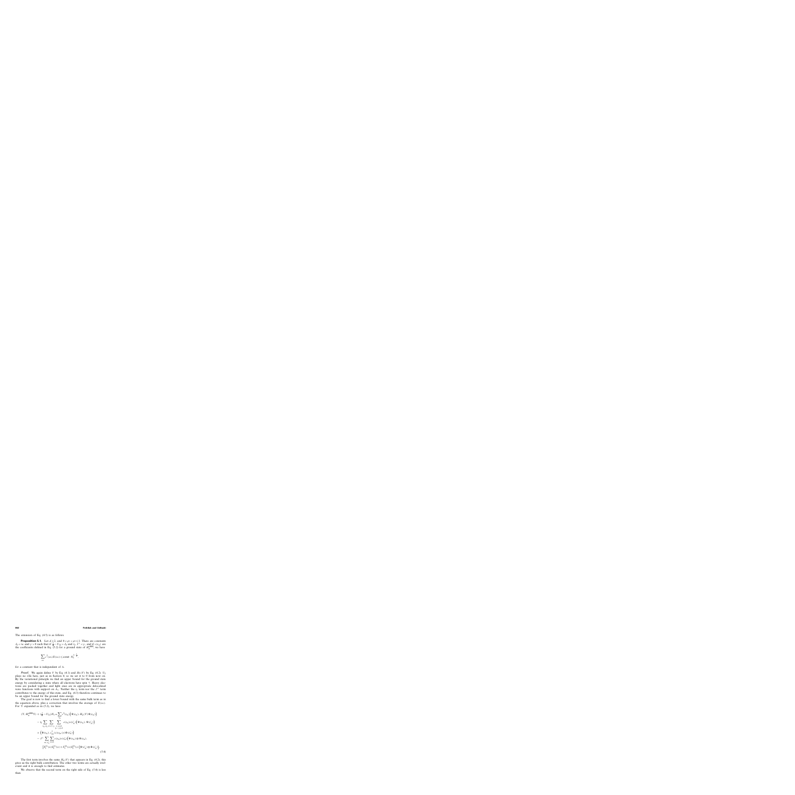The extension of Eq. (4.5) is as follows.

**Proposition 5.1.** Let  $d \ge 2$ , and  $0 < \rho_1 < \rho_2 \le 1$ . There are constants  $J_0 < \infty$  and  $\gamma > 0$  such that if  $\frac{J}{4} - U_{12} > J_0$  and  $t_2$ ,  $J^{\perp} < \gamma$ , and if  $c(s_\Lambda)$  are the coefficients defined in Eq. (5.2) for a ground state of  $H<sub>A</sub><sup>aHH</sup>$ , we have

$$
\sum_{s_{\Lambda}} c^2(s_{\Lambda}) X(s_{\Lambda}) \leqslant \text{const} \cdot N_2^{1-\frac{1}{d}},
$$

for a constant that is independent of  $\Lambda$ .

**Proof.** We again define V by Eq. (4.1) and  $H_{\Lambda}(V)$  by Eq. (4.2).  $U_2$ plays no rôle here, just as in Section 4; so we set it to 0 from now on. By the variational principle we find an upper bound for the ground state energy by considering a state where all electrons have spin  $\uparrow$ . Heavy electrons are packed together and light ones are in appropriate delocalized wave functions with support on  $A_{\uparrow}$ . Neither the  $t_2$  term nor the  $J^{\perp}$  term contributes to the energy of this state, and Eq. (4.3) therefore continues to be an upper bound for the ground state energy.

The goal is now to find a lower bound with the same bulk term as in the equation above, plus a correction that involves the average of  $X(s_\Lambda)$ . For  $\Upsilon$  expanded as in (5.2), we have

$$
(\Upsilon, H_{\Lambda}^{aHH}\Upsilon) + (\frac{J}{4} - U_{12})N_1 = \sum_{s_{\Lambda}} c^2(s_{\Lambda}) \Big( \Psi(s_{\Lambda}), H_{\Lambda}(V)\Psi(s_{\Lambda}) \Big)
$$
  
\n
$$
- t_2 \sum_{s_{\Lambda}, s'_{\Lambda}} \sum_{\sigma = \uparrow, \downarrow} \sum_{\substack{x, y \in \Lambda \\ |x - y| = 1}} c(s_{\Lambda}) c(s'_{\Lambda}) \Big( \Psi(s_{\Lambda}), \Psi(s'_{\Lambda}) \Big)
$$
  
\n
$$
\times \Big( \Phi(s_{\Lambda}), c^{\dagger}_{2\sigma}(x) c_{2\sigma}(y) \Phi(s'_{\Lambda}) \Big)
$$
  
\n
$$
- J^{\perp} \sum_{s_{\Lambda}, s'_{\Lambda}} \sum_{x \in \Lambda} c(s_{\Lambda}) c(s'_{\Lambda}) \Big( \Psi(s_{\Lambda}) \otimes \Phi(s_{\Lambda}),
$$
  
\n
$$
\Big[ S_1^{(1)}(x) S_2^{(1)}(x) + S_1^{(2)}(x) S_2^{(2)}(x) \Big] \Psi(s'_{\Lambda}) \otimes \Phi(s'_{\Lambda}) \Big).
$$
\n(5.4)

The first term involves the same  $H_{\Lambda}(V)$  that appears in Eq. (4.2); this gives us the right bulk contribution. The other two terms are actually irrelevant and it is enough to find estimates.

We observe that the second term on the right side of Eq.  $(5.4)$  is less than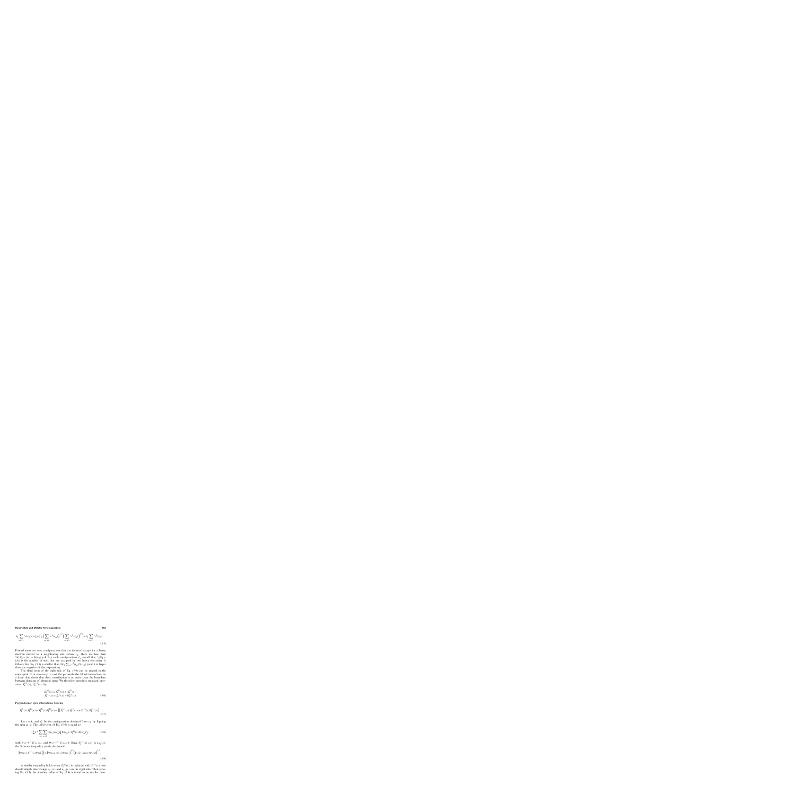$$
t_2 \sum_{s_{\Lambda}, s_{\Lambda}'} c(s_{\Lambda}) c(s_{\Lambda}') \leq t_2 \Big( \sum_{s_{\Lambda}, s_{\Lambda}'} c^2(s_{\Lambda}) \Big)^{1/2} \Big( \sum_{s_{\Lambda}, s_{\Lambda}'} c^2(s_{\Lambda}') \Big)^{1/2} = t_2 \sum_{s_{\Lambda}, s_{\Lambda}'} c^2(s_{\Lambda}).
$$
\n(5.5)

Primed sums are over configurations that are identical except for a heavy electron moved to a neighboring site. Given  $s_{\Lambda}$ , there are less than  $2d(N_2 - |A|) + B(A_\uparrow) + B(A_\downarrow)$  such configurations  $s'_\Lambda$  (recall that  $\frac{1}{2}(N_2 -$ |A|) is the number of sites that are occupied by two heavy electrons). It follows that Eq. (5.5) is smaller than  $2dt_2 \sum_{s_A} c^2(s_A) X(s_A)$  (and it is larger than the negative of this expression).

The third term of the right side of Eq. (5.4) can be treated in the same spirit. It is necessary to cast the perpendicular Hund interactions in a form that shows that their contribution is no more than the boundary between domains of identical spins. We therefore introduce standard operators  $S_a^{(+)}(x)$ ,  $S_a^{(-)}(x)$ , by

$$
S_a^{(+)}(x) = S_a^{(1)}(x) + iS_a^{(2)}(x),
$$
  
\n
$$
S_a^{(-)}(x) = S_a^{(1)}(x) - iS_a^{(2)}(x).
$$
\n(5.6)

Perpendicular spin interactions become

$$
S_1^{(1)}(x)S_2^{(1)}(x) + S_1^{(2)}(x)S_2^{(2)}(x) = \frac{1}{2} \left[ S_1^{(+)}(x)S_2^{(-)}(x) + S_1^{(-)}(x)S_2^{(+)}(x) \right].
$$
\n(5.7)

Let  $x \in A$ , and  $s_{\Lambda}^{x}$  be the configuration obtained from  $s_{\Lambda}$  by flipping the spin at x. The third term of Eq.  $(5.4)$  is equal to

$$
-\frac{1}{2}J^{\perp}\sum_{s_{\Lambda}}\sum_{x\in A}c(s_{\Lambda})c(s_{\Lambda}^{x})\Big(\Psi(s_{\Lambda}),S_{1}^{(\#)}(x)\Psi(s_{\Lambda}^{x})\Big),\tag{5.8}
$$

with  $\# =$ "+" if  $s_x = \downarrow$ , and  $\# =$ "-" if  $s_x = \uparrow$ . Since  $S_1^{(+)}(x) = c_{1\uparrow}^{+}(x)c_{1\downarrow}(x)$ , the Schwarz inequality yields the bound

$$
\left| \left( \Psi(s_{\Lambda}), S_{1}^{(+)}(x) \Psi(s_{\Lambda}^{x}) \right) \right| \leq \left( \Psi(s_{\Lambda}), n_{1\uparrow}(x) \Psi(s_{\Lambda}) \right)^{1/2} \left( \Psi(s_{\Lambda}^{x}), n_{1\downarrow}(x) \Psi(s_{\Lambda}^{x}) \right)^{1/2}.
$$
\n(5.9)

A similar inequality holds when  $S_1^{(+)}(x)$  is replaced with  $S_1^{(-)}(x)$ ; one should simply interchange  $n_{1\uparrow}(x)$  and  $n_{1\downarrow}(x)$  on the right side. Then echoing Eq. (5.5), the absolute value of Eq. (5.8) is found to be smaller than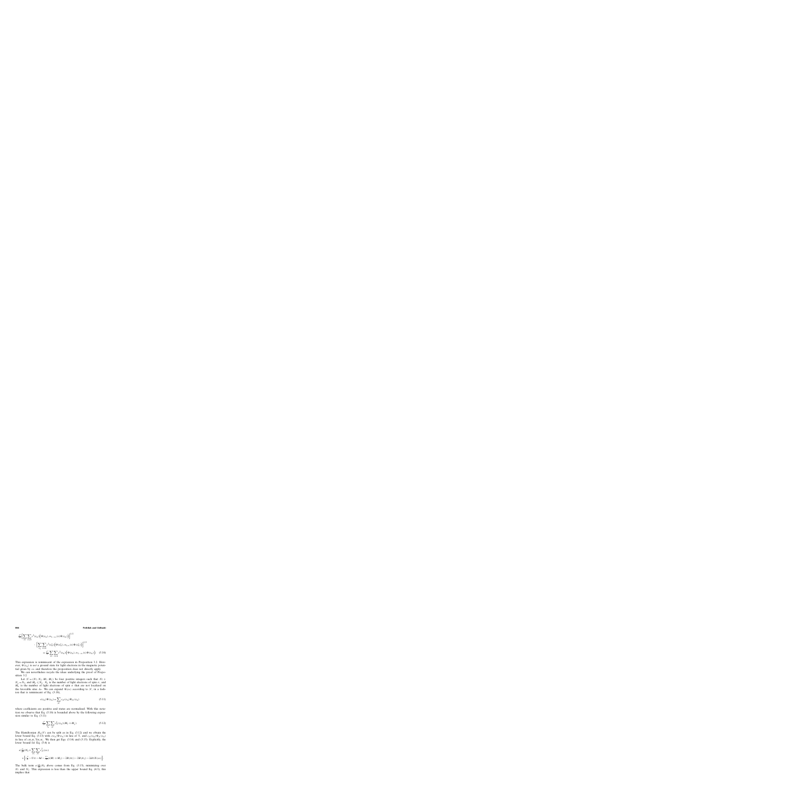$$
\frac{J^{\perp}}{2} \Biggl[ \sum_{s_{\Lambda}} \sum_{x \in A} c^{2}(s_{\Lambda}) \Biggl( \Psi(s_{\Lambda}), n_{1, -s_{x}}(x) \Psi(s_{\Lambda}) \Biggr) \Biggr]^{1/2} \cdot \Biggl[ \sum_{s_{\Lambda}} \sum_{x \in A} c^{2}(s_{\Lambda}^{x}) \Biggl( \Psi(s_{\Lambda}^{x}), n_{1, s_{x}}(x) \Psi(s_{\Lambda}^{x}) \Biggr) \Biggr]^{1/2} = \frac{J^{\perp}}{2} \sum_{s_{\Lambda}} \sum_{x \in A} c^{2}(s_{\Lambda}) \Biggl( \Psi(s_{\Lambda}), n_{1, -s_{x}}(x) \Psi(s_{\Lambda}) \Biggr). \tag{5.10}
$$

This expression is reminiscent of the expression in Proposition 3.2. However,  $\Psi(s_\Lambda)$  is *not* a ground state for light electrons in the magnetic potential given by  $s_A$  and therefore the proposition does not directly apply.

We can nevertheless recycle the ideas underlying the proof of Proposition 3.2.

Let  $\mathcal{N} = (N_{\uparrow}, N_{\downarrow}, M_{\uparrow}, M_{\downarrow})$  be four positive integers such that  $N_{\uparrow}$  +  $N_{\downarrow} = N_1$ , and  $M_{\sigma} \le N_{\sigma}$ .  $N_{\sigma}$  is the number of light electrons of spin  $\sigma$ , and  $M_{\sigma}$  is the number of light electrons of spin  $\sigma$  that are not localized on the favorable sites  $A_{\sigma}$ . We can expand  $\Psi(s_{\Lambda})$  according to N, in a fashion that is reminiscent of Eq. (3.10),

$$
c(s_{\Lambda})\Psi(s_{\Lambda}) = \sum_{\mathcal{N}} c_{\mathcal{N}}(s_{\Lambda})\Psi_{\mathcal{N}}(s_{\Lambda})
$$
\n(5.11)

where coefficients are positive and states are normalized. With this notation we observe that Eq. (5.10) is bounded above by the following expression similar to Eq. (3.11)

$$
\frac{J^{\perp}}{2} \sum_{s_{\Lambda}} \sum_{\mathcal{N}} c_{\mathcal{N}}^2(s_{\Lambda})(M_{\uparrow} + M_{\downarrow}). \tag{5.12}
$$

The Hamiltonian  $H_{\Lambda}(V)$  can be split as in Eq. (3.12) and we obtain the lower bound Eq. (3.13) with  $c(s_\Lambda)\Psi(s_\Lambda)$  in lieu of  $\Upsilon$ , and  $c_\mathcal{N}(s_\Lambda)\Psi_\mathcal{N}(s_\Lambda)$ in lieu of  $c_{M_2M_1} \Upsilon_{M_2M_1}$ . We then get Eqs. (3.14) and (3.15). Explicitly, the lower bound for Eq. (5.4) is

$$
\begin{split} e(\tfrac{\rho_1}{\rho_2})N_2 + & \sum_{s_\Lambda} \sum_{\mathcal{N}} c_{\mathcal{N}}^2(s_\Lambda) \\ & \times \Big\{ (\tfrac{J}{4} - U_{12} - 4d - \tfrac{J^\perp}{2}) (M_\uparrow + M_\downarrow) - 2B(A_\uparrow) - 2B(A_\downarrow) - 2d t_2 X(s_\Lambda) \Big\}. \end{split}
$$

The bulk term  $e(\frac{\rho_1}{\rho_2})N_2$  above comes from Eq. (3.15), minimizing over  $N_{\uparrow}$  and  $N_{\downarrow}$ . This expression is less than the upper bound Eq. (4.3); this implies that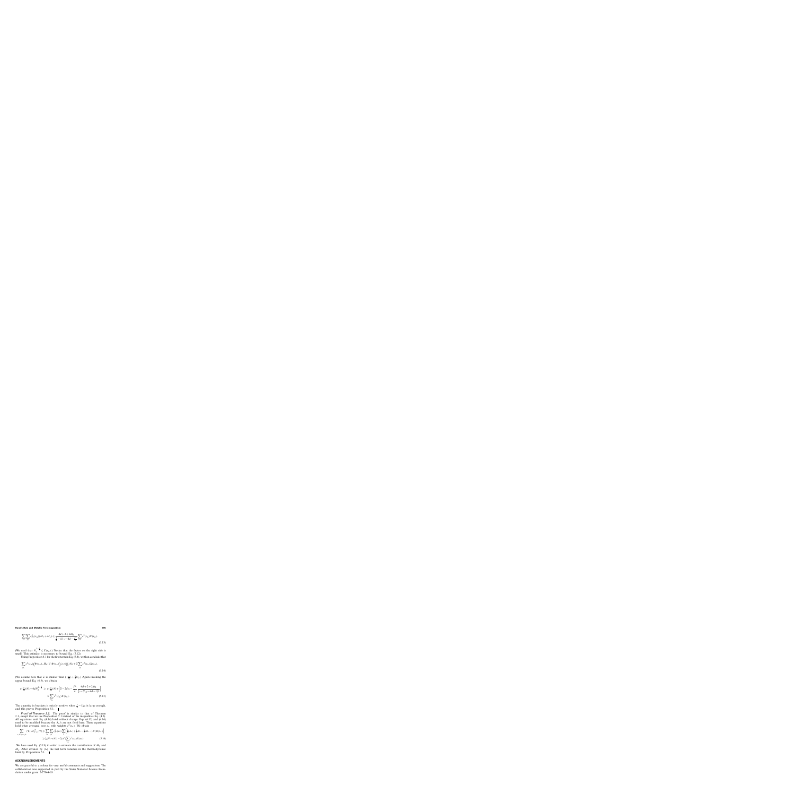$$
\sum_{s_{\Lambda}} \sum_{\mathcal{N}} c_{\mathcal{N}}^{2}(s_{\Lambda})(M_{\uparrow} + M_{\downarrow}) \leq \frac{4d + 2 + 2dt_{2}}{\frac{1}{4} - U_{12} - 4d - \frac{J^{\perp}}{2}} \sum_{s_{\Lambda}} c^{2}(s_{\Lambda}) X(s_{\Lambda}).
$$
\n(5.13)

(We used that  $N_2^{1-\frac{1}{d}} \le X(s_\Lambda)$ .) Notice that the factor on the right side is small. This estimate is necessary to bound Eq.  $(5.12)$ .

Using Proposition 4.1 for the first term in Eq. (5.4), we then conclude that

$$
\sum_{s_{\Lambda}} c^2(s_{\Lambda}) \Big( \Psi(s_{\Lambda}), H_{\Lambda}(V) \Psi(s_{\Lambda}) \Big) \geqslant e(\tfrac{\rho_1}{\rho_2}) N_2 + \widetilde{\alpha} \sum_{s_{\Lambda}} c^2(s_{\Lambda}) X(s_{\Lambda}).
$$
\n(5.14)

(We assume here that  $\tilde{\alpha}$  is smaller than  $\xi(\frac{\rho_1}{\rho_2}) + \frac{1}{2}U_2$ .) Again invoking the upper bound Eq. (4.3), we obtain upper bound Eq. (4.3), we obtain

$$
e(\frac{\rho_1}{\rho_2})N_2 + 4dN_2^{1-\frac{1}{d}} \ge e(\frac{\rho_1}{\rho_2})N_2 + \left[\widetilde{\alpha} - 2dt_2 - \frac{J^{\perp}}{2} \frac{4d + 2 + 2dt_2}{\frac{J}{4} - U_{12} - 4d - \frac{J^{\perp}}{2}}\right] \times \sum_{s_{\Lambda}} c^2(s_{\Lambda})X(s_{\Lambda}).
$$
\n(5.15)

The quantity in brackets is strictly positive when  $\frac{J}{4} - U_{12}$  is large enough, and this proves Proposition 5.1.

Proof of Theorem 2.2. The proof is similar to that of Theorem 2.1, except that we use Proposition 5.1 instead of the inequalities Eq. (4.5). All equations until Eq. (4.14) hold without change. Eqs. (4.15) and (4.16) need to be modified because the  $A_{\sigma}$ 's are not fixed here. These equations hold when averaged over  $s_{\Lambda}$  with weights  $c^2(s_{\Lambda})$ . We obtain

$$
\sum_{x,\Lambda'+x\subset\Lambda} (\Upsilon, |M_{\Lambda'+x}^{(3)}|\Upsilon) \geqslant \sum_{s_{\Lambda}} \sum_{\mathcal{N}} c_{\mathcal{N}}^2(s_{\Lambda}) \sum_{\sigma} \Big[ \frac{1}{2} |A_{\sigma}| + \frac{1}{2} N_{\sigma} - \frac{1}{2} M_{\sigma} - |\Lambda'| B(A_{\sigma}) \Big]
$$
  

$$
\geqslant \frac{1}{2} (N_1 + N_2) - 2|\Lambda'| \sum_{s_{\Lambda}} c^2(s_{\Lambda}) X(s_{\Lambda}). \tag{5.16}
$$

We have used Eq. (5.13) in order to estimate the contribution of  $M_+$  and  $M_{\downarrow}$ . After division by |A|, the last term vanishes in the thermodynamic limit by Proposition 5.1.  $\blacksquare$ 

## **ACKNOWLEDGMENTS**

We are grateful to a referee for very useful comments and suggestions. The collaboration was supported in part by the Swiss National Science Foundation under grant 2-77344-03.